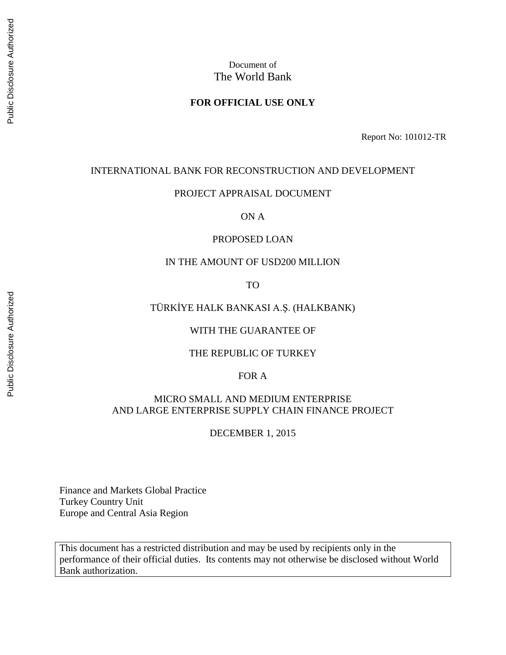# Document of The World Bank

#### **FOR OFFICIAL USE ONLY**

Report No: 101012-TR

#### INTERNATIONAL BANK FOR RECONSTRUCTION AND DEVELOPMENT

#### PROJECT APPRAISAL DOCUMENT

ON A

#### PROPOSED LOAN

#### IN THE AMOUNT OF USD200 MILLION

TO

#### TÜRKİYE HALK BANKASI A.Ş. (HALKBANK)

#### WITH THE GUARANTEE OF

#### THE REPUBLIC OF TURKEY

#### FOR A

#### MICRO SMALL AND MEDIUM ENTERPRISE AND LARGE ENTERPRISE SUPPLY CHAIN FINANCE PROJECT

DECEMBER 1, 2015

Finance and Markets Global Practice Turkey Country Unit Europe and Central Asia Region

This document has a restricted distribution and may be used by recipients only in the performance of their official duties. Its contents may not otherwise be disclosed without World Bank authorization.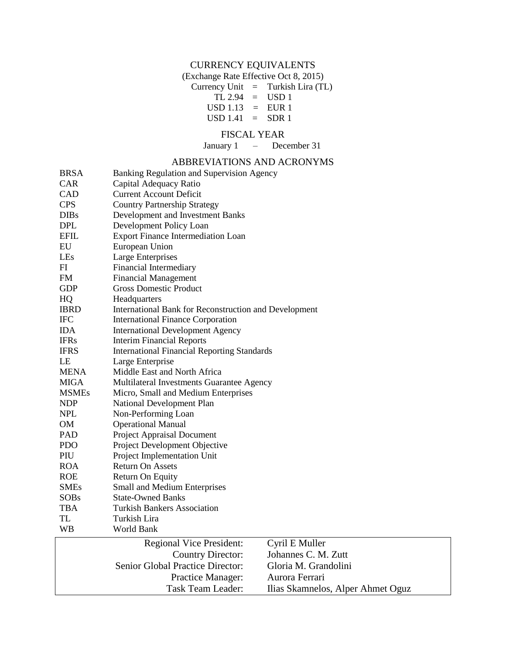# CURRENCY EQUIVALENTS

(Exchange Rate Effective Oct 8, 2015)

Currency Unit = Turkish Lira (TL)  $TL 2.94 = USD 1$ 

 $USD 1.13 = EUR 1$ 

 $USD 1.41 = SDR 1$ 

#### FISCAL YEAR

January 1 – December 31

#### ABBREVIATIONS AND ACRONYMS

| <b>BRSA</b>  | Banking Regulation and Supervision Agency             |                                   |  |  |  |  |
|--------------|-------------------------------------------------------|-----------------------------------|--|--|--|--|
| <b>CAR</b>   | Capital Adequacy Ratio                                |                                   |  |  |  |  |
| CAD          | <b>Current Account Deficit</b>                        |                                   |  |  |  |  |
| <b>CPS</b>   | <b>Country Partnership Strategy</b>                   |                                   |  |  |  |  |
| <b>DIBs</b>  | Development and Investment Banks                      |                                   |  |  |  |  |
| <b>DPL</b>   | Development Policy Loan                               |                                   |  |  |  |  |
| <b>EFIL</b>  | <b>Export Finance Intermediation Loan</b>             |                                   |  |  |  |  |
| EU           | European Union                                        |                                   |  |  |  |  |
| LEs          | <b>Large Enterprises</b>                              |                                   |  |  |  |  |
| FI           | Financial Intermediary                                |                                   |  |  |  |  |
| <b>FM</b>    | <b>Financial Management</b>                           |                                   |  |  |  |  |
| <b>GDP</b>   | <b>Gross Domestic Product</b>                         |                                   |  |  |  |  |
| HQ           | Headquarters                                          |                                   |  |  |  |  |
| <b>IBRD</b>  | International Bank for Reconstruction and Development |                                   |  |  |  |  |
| <b>IFC</b>   | <b>International Finance Corporation</b>              |                                   |  |  |  |  |
| <b>IDA</b>   | <b>International Development Agency</b>               |                                   |  |  |  |  |
| <b>IFRs</b>  | <b>Interim Financial Reports</b>                      |                                   |  |  |  |  |
| <b>IFRS</b>  | <b>International Financial Reporting Standards</b>    |                                   |  |  |  |  |
| LE           | Large Enterprise                                      |                                   |  |  |  |  |
| <b>MENA</b>  | Middle East and North Africa                          |                                   |  |  |  |  |
| MIGA         | Multilateral Investments Guarantee Agency             |                                   |  |  |  |  |
| <b>MSMEs</b> | Micro, Small and Medium Enterprises                   |                                   |  |  |  |  |
| <b>NDP</b>   | National Development Plan                             |                                   |  |  |  |  |
| <b>NPL</b>   | Non-Performing Loan                                   |                                   |  |  |  |  |
| <b>OM</b>    | <b>Operational Manual</b>                             |                                   |  |  |  |  |
| PAD          | Project Appraisal Document                            |                                   |  |  |  |  |
| <b>PDO</b>   | Project Development Objective                         |                                   |  |  |  |  |
| PIU          | Project Implementation Unit                           |                                   |  |  |  |  |
| <b>ROA</b>   | <b>Return On Assets</b>                               |                                   |  |  |  |  |
| <b>ROE</b>   | Return On Equity                                      |                                   |  |  |  |  |
| <b>SMEs</b>  | Small and Medium Enterprises                          |                                   |  |  |  |  |
| <b>SOBs</b>  | State-Owned Banks                                     |                                   |  |  |  |  |
| <b>TBA</b>   | Turkish Bankers Association                           |                                   |  |  |  |  |
| <b>TL</b>    | Turkish Lira                                          |                                   |  |  |  |  |
| WB           | World Bank                                            |                                   |  |  |  |  |
|              | <b>Regional Vice President:</b>                       | Cyril E Muller                    |  |  |  |  |
|              | <b>Country Director:</b>                              | Johannes C. M. Zutt               |  |  |  |  |
|              | Senior Global Practice Director:                      | Gloria M. Grandolini              |  |  |  |  |
|              | Practice Manager:                                     | Aurora Ferrari                    |  |  |  |  |
|              | <b>Task Team Leader:</b>                              | Ilias Skamnelos, Alper Ahmet Oguz |  |  |  |  |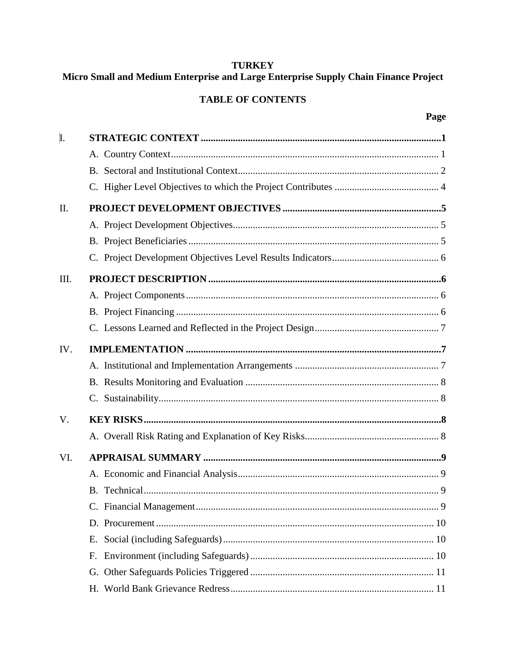# **TURKEY**

# Micro Small and Medium Enterprise and Large Enterprise Supply Chain Finance Project

# **TABLE OF CONTENTS**

| I.          |    |  |
|-------------|----|--|
|             |    |  |
|             |    |  |
|             |    |  |
| II.         |    |  |
|             |    |  |
|             |    |  |
|             |    |  |
| III.        |    |  |
|             |    |  |
|             |    |  |
|             |    |  |
| IV.         |    |  |
|             |    |  |
|             |    |  |
|             |    |  |
| $V_{\cdot}$ |    |  |
|             |    |  |
| VI.         |    |  |
|             |    |  |
|             |    |  |
|             |    |  |
|             |    |  |
|             | Е. |  |
|             | F. |  |
|             |    |  |
|             |    |  |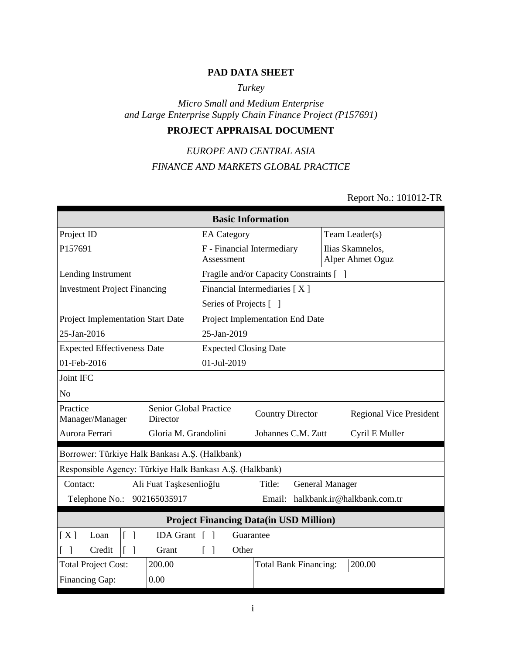#### **PAD DATA SHEET**

## *Turkey*

#### *Micro Small and Medium Enterprise and Large Enterprise Supply Chain Finance Project (P157691)*

# **PROJECT APPRAISAL DOCUMENT**

# *EUROPE AND CENTRAL ASIA FINANCE AND MARKETS GLOBAL PRACTICE*

# Report No.: 101012-TR

| <b>Basic Information</b>                                 |                                    |                                      |           |                                         |                        |  |                                      |
|----------------------------------------------------------|------------------------------------|--------------------------------------|-----------|-----------------------------------------|------------------------|--|--------------------------------------|
| Project ID                                               |                                    | Team Leader(s)<br><b>EA</b> Category |           |                                         |                        |  |                                      |
| P157691                                                  |                                    | Assessment                           |           | F - Financial Intermediary              |                        |  | Ilias Skamnelos,<br>Alper Ahmet Oguz |
| Lending Instrument                                       |                                    |                                      |           | Fragile and/or Capacity Constraints [ ] |                        |  |                                      |
| <b>Investment Project Financing</b>                      |                                    |                                      |           | Financial Intermediaries [X]            |                        |  |                                      |
|                                                          |                                    | Series of Projects [ ]               |           |                                         |                        |  |                                      |
| Project Implementation Start Date                        |                                    |                                      |           | Project Implementation End Date         |                        |  |                                      |
| 25-Jan-2016                                              |                                    | 25-Jan-2019                          |           |                                         |                        |  |                                      |
| <b>Expected Effectiveness Date</b>                       |                                    | <b>Expected Closing Date</b>         |           |                                         |                        |  |                                      |
| 01-Feb-2016                                              |                                    | 01-Jul-2019                          |           |                                         |                        |  |                                      |
| Joint IFC                                                |                                    |                                      |           |                                         |                        |  |                                      |
| N <sub>o</sub>                                           |                                    |                                      |           |                                         |                        |  |                                      |
| Practice<br>Manager/Manager                              | Senior Global Practice<br>Director |                                      |           | <b>Country Director</b>                 |                        |  | <b>Regional Vice President</b>       |
| Aurora Ferrari                                           | Gloria M. Grandolini               |                                      |           | Johannes C.M. Zutt                      |                        |  | Cyril E Muller                       |
| Borrower: Türkiye Halk Bankası A.Ş. (Halkbank)           |                                    |                                      |           |                                         |                        |  |                                      |
| Responsible Agency: Türkiye Halk Bankası A.Ş. (Halkbank) |                                    |                                      |           |                                         |                        |  |                                      |
| Contact:                                                 | Ali Fuat Taşkesenlioğlu            |                                      |           | Title:                                  | <b>General Manager</b> |  |                                      |
| Telephone No.:                                           | 902165035917                       |                                      |           | Email:                                  |                        |  | halkbank.ir@halkbank.com.tr          |
| <b>Project Financing Data(in USD Million)</b>            |                                    |                                      |           |                                         |                        |  |                                      |
| $\lceil \; \rceil$<br>[X]<br>Loan                        | <b>IDA</b> Grant                   | $\Box$<br>$\lceil$                   | Guarantee |                                         |                        |  |                                      |
| $[\ ]$<br>Credit                                         | Grant                              | $[\ ]$                               | Other     |                                         |                        |  |                                      |
| <b>Total Project Cost:</b>                               | 200.00                             |                                      |           | <b>Total Bank Financing:</b>            |                        |  | 200.00                               |
| Financing Gap:<br>0.00                                   |                                    |                                      |           |                                         |                        |  |                                      |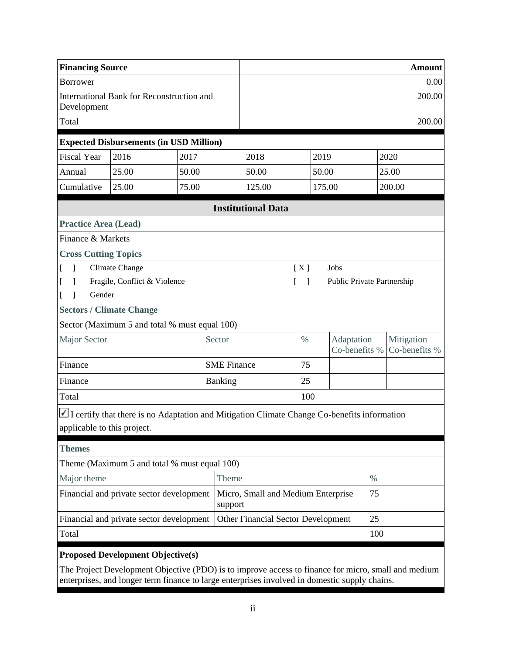| <b>Financing Source</b>                                                        |                                                                                             |       |                    |                                               |                               |        | <b>Amount</b>               |     |                             |
|--------------------------------------------------------------------------------|---------------------------------------------------------------------------------------------|-------|--------------------|-----------------------------------------------|-------------------------------|--------|-----------------------------|-----|-----------------------------|
| <b>Borrower</b>                                                                |                                                                                             |       |                    |                                               |                               |        | 0.00                        |     |                             |
| Development                                                                    | International Bank for Reconstruction and                                                   |       |                    | 200.00                                        |                               |        |                             |     |                             |
| Total                                                                          |                                                                                             |       |                    |                                               |                               |        |                             |     | 200.00                      |
|                                                                                | <b>Expected Disbursements (in USD Million)</b>                                              |       |                    |                                               |                               |        |                             |     |                             |
| <b>Fiscal Year</b>                                                             | 2016                                                                                        | 2017  |                    | 2018                                          |                               | 2019   |                             |     | 2020                        |
| Annual                                                                         | 25.00                                                                                       | 50.00 |                    | 50.00                                         |                               | 50.00  |                             |     | 25.00                       |
| Cumulative                                                                     | 25.00                                                                                       | 75.00 |                    | 125.00                                        |                               | 175.00 |                             |     | 200.00                      |
|                                                                                |                                                                                             |       |                    | <b>Institutional Data</b>                     |                               |        |                             |     |                             |
| <b>Practice Area (Lead)</b>                                                    |                                                                                             |       |                    |                                               |                               |        |                             |     |                             |
| Finance & Markets                                                              |                                                                                             |       |                    |                                               |                               |        |                             |     |                             |
| <b>Cross Cutting Topics</b>                                                    |                                                                                             |       |                    |                                               |                               |        |                             |     |                             |
| $\mathbf{I}$                                                                   | Climate Change                                                                              |       |                    |                                               | [X]                           |        | Jobs                        |     |                             |
|                                                                                | Fragile, Conflict & Violence                                                                |       |                    |                                               | L<br>$\overline{\phantom{a}}$ |        | Public Private Partnership  |     |                             |
| Gender                                                                         |                                                                                             |       |                    |                                               |                               |        |                             |     |                             |
| <b>Sectors / Climate Change</b>                                                |                                                                                             |       |                    |                                               |                               |        |                             |     |                             |
|                                                                                | Sector (Maximum 5 and total % must equal 100)                                               |       |                    |                                               |                               |        |                             |     |                             |
| Major Sector                                                                   |                                                                                             |       | Sector             |                                               | $\%$                          |        | Adaptation<br>Co-benefits % |     | Mitigation<br>Co-benefits % |
| Finance                                                                        |                                                                                             |       | <b>SME</b> Finance |                                               | 75                            |        |                             |     |                             |
| Finance                                                                        |                                                                                             |       | <b>Banking</b>     |                                               | 25                            |        |                             |     |                             |
| Total                                                                          |                                                                                             |       |                    |                                               | 100                           |        |                             |     |                             |
|                                                                                | I certify that there is no Adaptation and Mitigation Climate Change Co-benefits information |       |                    |                                               |                               |        |                             |     |                             |
| applicable to this project.                                                    |                                                                                             |       |                    |                                               |                               |        |                             |     |                             |
| <b>Themes</b>                                                                  |                                                                                             |       |                    |                                               |                               |        |                             |     |                             |
|                                                                                | Theme (Maximum 5 and total % must equal 100)                                                |       |                    |                                               |                               |        |                             |     |                             |
| Theme<br>Major theme                                                           |                                                                                             |       |                    | $\%$                                          |                               |        |                             |     |                             |
|                                                                                | Financial and private sector development                                                    |       |                    | Micro, Small and Medium Enterprise<br>support |                               |        | 75                          |     |                             |
| Financial and private sector development<br>Other Financial Sector Development |                                                                                             |       |                    | 25                                            |                               |        |                             |     |                             |
| Total                                                                          |                                                                                             |       |                    |                                               |                               |        |                             | 100 |                             |
|                                                                                | <b>Proposed Development Objective(s)</b>                                                    |       |                    |                                               |                               |        |                             |     |                             |

The Project Development Objective (PDO) is to improve access to finance for micro, small and medium enterprises, and longer term finance to large enterprises involved in domestic supply chains.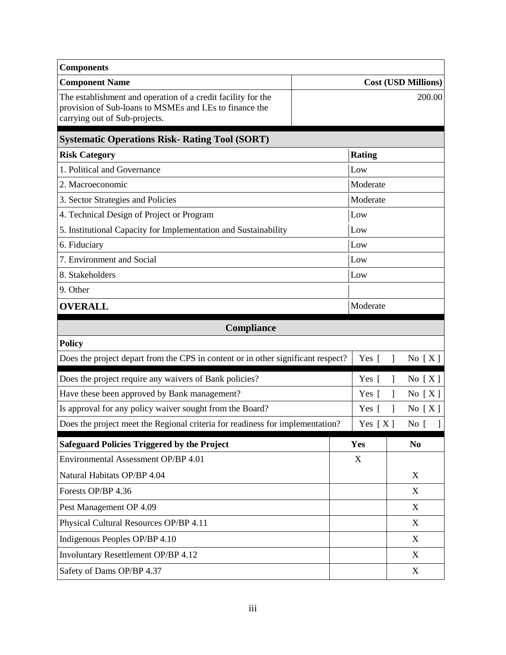| <b>Components</b>                                                                                                                                       |               |                            |  |
|---------------------------------------------------------------------------------------------------------------------------------------------------------|---------------|----------------------------|--|
| <b>Component Name</b>                                                                                                                                   |               | <b>Cost (USD Millions)</b> |  |
| The establishment and operation of a credit facility for the<br>provision of Sub-loans to MSMEs and LEs to finance the<br>carrying out of Sub-projects. |               | 200.00                     |  |
| <b>Systematic Operations Risk- Rating Tool (SORT)</b>                                                                                                   |               |                            |  |
| <b>Risk Category</b>                                                                                                                                    | <b>Rating</b> |                            |  |
| 1. Political and Governance                                                                                                                             | Low           |                            |  |
| 2. Macroeconomic                                                                                                                                        | Moderate      |                            |  |
| 3. Sector Strategies and Policies                                                                                                                       | Moderate      |                            |  |
| 4. Technical Design of Project or Program                                                                                                               | Low           |                            |  |
| 5. Institutional Capacity for Implementation and Sustainability                                                                                         | Low           |                            |  |
| 6. Fiduciary                                                                                                                                            | Low           |                            |  |
| 7. Environment and Social                                                                                                                               | Low           |                            |  |
| 8. Stakeholders                                                                                                                                         | Low           |                            |  |
| 9. Other                                                                                                                                                |               |                            |  |
| <b>OVERALL</b>                                                                                                                                          | Moderate      |                            |  |
| Compliance                                                                                                                                              |               |                            |  |
| <b>Policy</b>                                                                                                                                           |               |                            |  |
| Does the project depart from the CPS in content or in other significant respect?                                                                        | Yes [         | No $[X]$<br>1              |  |
| Does the project require any waivers of Bank policies?                                                                                                  | Yes $\lceil$  | No[X]<br>J                 |  |
| Have these been approved by Bank management?                                                                                                            | Yes $\lceil$  | No $[X]$<br>J              |  |
| Is approval for any policy waiver sought from the Board?                                                                                                | Yes $\lceil$  | 1<br>No $[X]$              |  |
| Does the project meet the Regional criteria for readiness for implementation?                                                                           | Yes $[X]$     | No [                       |  |
| <b>Safeguard Policies Triggered by the Project</b>                                                                                                      | Yes           | N <sub>0</sub>             |  |
| Environmental Assessment OP/BP 4.01                                                                                                                     | X             |                            |  |
| Natural Habitats OP/BP 4.04                                                                                                                             |               | X                          |  |
| Forests OP/BP 4.36                                                                                                                                      |               | X                          |  |
| Pest Management OP 4.09                                                                                                                                 |               | X                          |  |
| Physical Cultural Resources OP/BP 4.11                                                                                                                  |               | X                          |  |
| Indigenous Peoples OP/BP 4.10                                                                                                                           |               | X                          |  |
| Involuntary Resettlement OP/BP 4.12                                                                                                                     |               | X                          |  |
| Safety of Dams OP/BP 4.37                                                                                                                               |               | X                          |  |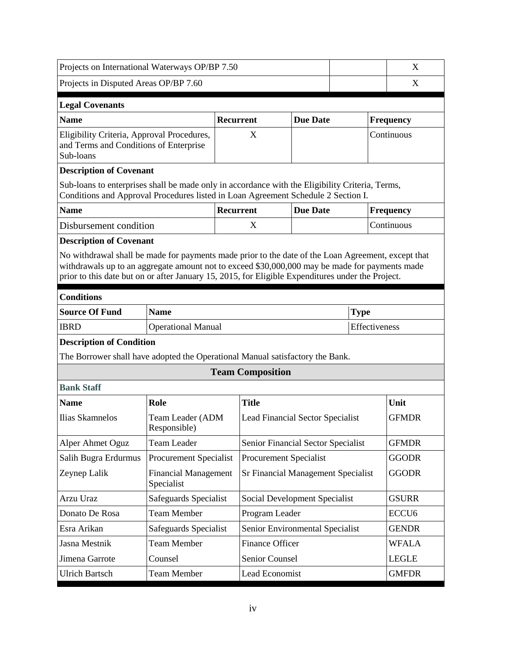| Projects on International Waterways OP/BP 7.50                                                                                                                                                                                                                                                            |                                           |                               |                         |                                           |               |             |                  | X                 |
|-----------------------------------------------------------------------------------------------------------------------------------------------------------------------------------------------------------------------------------------------------------------------------------------------------------|-------------------------------------------|-------------------------------|-------------------------|-------------------------------------------|---------------|-------------|------------------|-------------------|
| Projects in Disputed Areas OP/BP 7.60                                                                                                                                                                                                                                                                     |                                           |                               |                         |                                           |               |             |                  | X                 |
|                                                                                                                                                                                                                                                                                                           |                                           |                               |                         |                                           |               |             |                  |                   |
| <b>Legal Covenants</b>                                                                                                                                                                                                                                                                                    |                                           |                               |                         |                                           |               |             |                  |                   |
| <b>Name</b>                                                                                                                                                                                                                                                                                               |                                           | Recurrent                     |                         | <b>Due Date</b>                           |               |             | <b>Frequency</b> |                   |
| Eligibility Criteria, Approval Procedures,<br>and Terms and Conditions of Enterprise<br>Sub-loans                                                                                                                                                                                                         |                                           |                               | X                       |                                           |               |             | Continuous       |                   |
| <b>Description of Covenant</b>                                                                                                                                                                                                                                                                            |                                           |                               |                         |                                           |               |             |                  |                   |
| Sub-loans to enterprises shall be made only in accordance with the Eligibility Criteria, Terms,<br>Conditions and Approval Procedures listed in Loan Agreement Schedule 2 Section I.                                                                                                                      |                                           |                               |                         |                                           |               |             |                  |                   |
| <b>Name</b>                                                                                                                                                                                                                                                                                               |                                           | <b>Recurrent</b>              |                         | <b>Due Date</b>                           |               |             | <b>Frequency</b> |                   |
| Disbursement condition                                                                                                                                                                                                                                                                                    |                                           |                               | X                       |                                           |               |             | Continuous       |                   |
| <b>Description of Covenant</b>                                                                                                                                                                                                                                                                            |                                           |                               |                         |                                           |               |             |                  |                   |
| No withdrawal shall be made for payments made prior to the date of the Loan Agreement, except that<br>withdrawals up to an aggregate amount not to exceed \$30,000,000 may be made for payments made<br>prior to this date but on or after January 15, 2015, for Eligible Expenditures under the Project. |                                           |                               |                         |                                           |               |             |                  |                   |
| <b>Conditions</b>                                                                                                                                                                                                                                                                                         |                                           |                               |                         |                                           |               |             |                  |                   |
| <b>Source Of Fund</b>                                                                                                                                                                                                                                                                                     | <b>Name</b>                               |                               |                         |                                           |               | <b>Type</b> |                  |                   |
| <b>IBRD</b>                                                                                                                                                                                                                                                                                               | <b>Operational Manual</b>                 |                               |                         |                                           | Effectiveness |             |                  |                   |
| <b>Description of Condition</b>                                                                                                                                                                                                                                                                           |                                           |                               |                         |                                           |               |             |                  |                   |
| The Borrower shall have adopted the Operational Manual satisfactory the Bank.                                                                                                                                                                                                                             |                                           |                               |                         |                                           |               |             |                  |                   |
|                                                                                                                                                                                                                                                                                                           |                                           |                               | <b>Team Composition</b> |                                           |               |             |                  |                   |
| <b>Bank Staff</b>                                                                                                                                                                                                                                                                                         |                                           |                               |                         |                                           |               |             |                  |                   |
| <b>Name</b>                                                                                                                                                                                                                                                                                               | Role                                      |                               | <b>Title</b>            |                                           |               |             |                  | Unit              |
| <b>Ilias Skamnelos</b>                                                                                                                                                                                                                                                                                    | Team Leader (ADM<br>Responsible)          |                               |                         | Lead Financial Sector Specialist          |               |             |                  | <b>GFMDR</b>      |
| Alper Ahmet Oguz                                                                                                                                                                                                                                                                                          | <b>Team Leader</b>                        |                               |                         | Senior Financial Sector Specialist        |               |             |                  | <b>GFMDR</b>      |
| Salih Bugra Erdurmus                                                                                                                                                                                                                                                                                      | <b>Procurement Specialist</b>             |                               |                         | Procurement Specialist                    |               |             |                  | <b>GGODR</b>      |
| Zeynep Lalik                                                                                                                                                                                                                                                                                              | <b>Financial Management</b><br>Specialist |                               |                         | <b>Sr Financial Management Specialist</b> |               |             |                  | <b>GGODR</b>      |
| Arzu Uraz                                                                                                                                                                                                                                                                                                 | Safeguards Specialist                     | Social Development Specialist |                         |                                           |               |             | <b>GSURR</b>     |                   |
| Donato De Rosa                                                                                                                                                                                                                                                                                            | <b>Team Member</b>                        |                               | Program Leader          |                                           |               |             |                  | ECCU <sub>6</sub> |
| Esra Arikan                                                                                                                                                                                                                                                                                               | Safeguards Specialist                     |                               |                         | Senior Environmental Specialist           |               |             |                  | <b>GENDR</b>      |
| Jasna Mestnik                                                                                                                                                                                                                                                                                             | <b>Team Member</b>                        |                               | Finance Officer         |                                           |               |             |                  | <b>WFALA</b>      |
| Jimena Garrote                                                                                                                                                                                                                                                                                            | Counsel                                   |                               | Senior Counsel          |                                           |               |             |                  | <b>LEGLE</b>      |
| <b>Ulrich Bartsch</b>                                                                                                                                                                                                                                                                                     | <b>Team Member</b>                        |                               | Lead Economist          |                                           |               |             |                  | <b>GMFDR</b>      |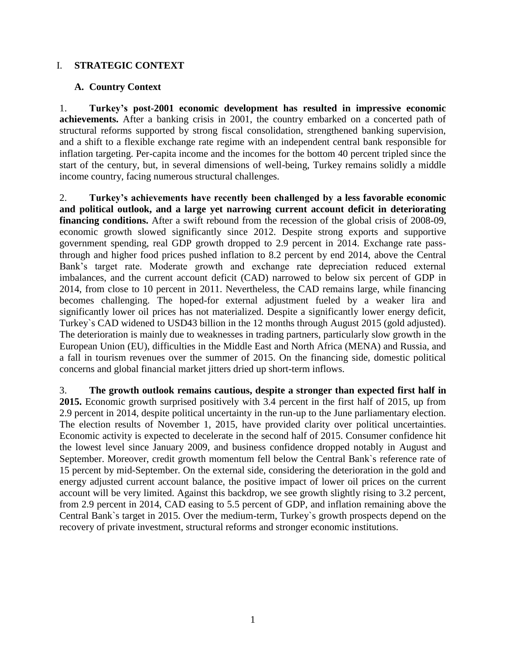#### I. **STRATEGIC CONTEXT**

#### **A. Country Context**

1. **Turkey's post-2001 economic development has resulted in impressive economic achievements.** After a banking crisis in 2001, the country embarked on a concerted path of structural reforms supported by strong fiscal consolidation, strengthened banking supervision, and a shift to a flexible exchange rate regime with an independent central bank responsible for inflation targeting. Per-capita income and the incomes for the bottom 40 percent tripled since the start of the century, but, in several dimensions of well-being, Turkey remains solidly a middle income country, facing numerous structural challenges.

2. **Turkey's achievements have recently been challenged by a less favorable economic and political outlook, and a large yet narrowing current account deficit in deteriorating**  financing conditions. After a swift rebound from the recession of the global crisis of 2008-09, economic growth slowed significantly since 2012. Despite strong exports and supportive government spending, real GDP growth dropped to 2.9 percent in 2014. Exchange rate passthrough and higher food prices pushed inflation to 8.2 percent by end 2014, above the Central Bank's target rate. Moderate growth and exchange rate depreciation reduced external imbalances, and the current account deficit (CAD) narrowed to below six percent of GDP in 2014, from close to 10 percent in 2011. Nevertheless, the CAD remains large, while financing becomes challenging. The hoped-for external adjustment fueled by a weaker lira and significantly lower oil prices has not materialized. Despite a significantly lower energy deficit, Turkey`s CAD widened to USD43 billion in the 12 months through August 2015 (gold adjusted). The deterioration is mainly due to weaknesses in trading partners, particularly slow growth in the European Union (EU), difficulties in the Middle East and North Africa (MENA) and Russia, and a fall in tourism revenues over the summer of 2015. On the financing side, domestic political concerns and global financial market jitters dried up short-term inflows.

3. **The growth outlook remains cautious, despite a stronger than expected first half in 2015.** Economic growth surprised positively with 3.4 percent in the first half of 2015, up from 2.9 percent in 2014, despite political uncertainty in the run-up to the June parliamentary election. The election results of November 1, 2015, have provided clarity over political uncertainties. Economic activity is expected to decelerate in the second half of 2015. Consumer confidence hit the lowest level since January 2009, and business confidence dropped notably in August and September. Moreover, credit growth momentum fell below the Central Bank`s reference rate of 15 percent by mid-September. On the external side, considering the deterioration in the gold and energy adjusted current account balance, the positive impact of lower oil prices on the current account will be very limited. Against this backdrop, we see growth slightly rising to 3.2 percent, from 2.9 percent in 2014, CAD easing to 5.5 percent of GDP, and inflation remaining above the Central Bank`s target in 2015. Over the medium-term, Turkey`s growth prospects depend on the recovery of private investment, structural reforms and stronger economic institutions.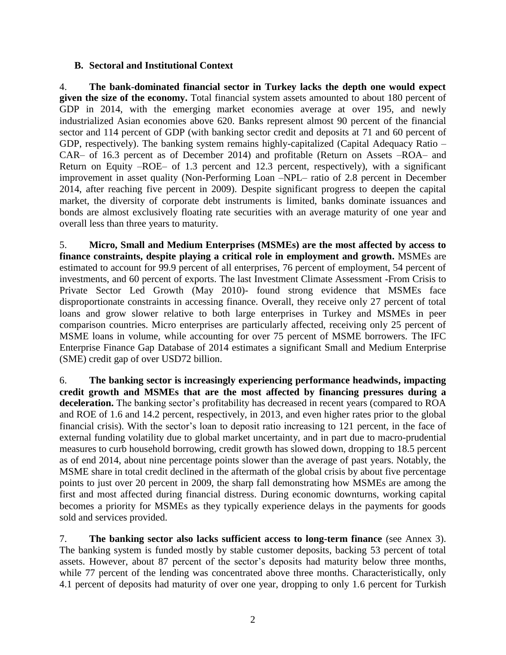#### **B. Sectoral and Institutional Context**

4. **The bank-dominated financial sector in Turkey lacks the depth one would expect given the size of the economy.** Total financial system assets amounted to about 180 percent of GDP in 2014, with the emerging market economies average at over 195, and newly industrialized Asian economies above 620. Banks represent almost 90 percent of the financial sector and 114 percent of GDP (with banking sector credit and deposits at 71 and 60 percent of GDP, respectively). The banking system remains highly-capitalized (Capital Adequacy Ratio – CAR– of 16.3 percent as of December 2014) and profitable (Return on Assets –ROA– and Return on Equity –ROE– of 1.3 percent and 12.3 percent, respectively), with a significant improvement in asset quality (Non-Performing Loan –NPL– ratio of 2.8 percent in December 2014, after reaching five percent in 2009). Despite significant progress to deepen the capital market, the diversity of corporate debt instruments is limited, banks dominate issuances and bonds are almost exclusively floating rate securities with an average maturity of one year and overall less than three years to maturity.

5. **Micro, Small and Medium Enterprises (MSMEs) are the most affected by access to finance constraints, despite playing a critical role in employment and growth.** MSMEs are estimated to account for 99.9 percent of all enterprises, 76 percent of employment, 54 percent of investments, and 60 percent of exports. The last Investment Climate Assessment -From Crisis to Private Sector Led Growth (May 2010)- found strong evidence that MSMEs face disproportionate constraints in accessing finance. Overall, they receive only 27 percent of total loans and grow slower relative to both large enterprises in Turkey and MSMEs in peer comparison countries. Micro enterprises are particularly affected, receiving only 25 percent of MSME loans in volume, while accounting for over 75 percent of MSME borrowers. The IFC Enterprise Finance Gap Database of 2014 estimates a significant Small and Medium Enterprise (SME) credit gap of over USD72 billion.

6. **The banking sector is increasingly experiencing performance headwinds, impacting credit growth and MSMEs that are the most affected by financing pressures during a deceleration.** The banking sector's profitability has decreased in recent years (compared to ROA and ROE of 1.6 and 14.2 percent, respectively, in 2013, and even higher rates prior to the global financial crisis). With the sector's loan to deposit ratio increasing to 121 percent, in the face of external funding volatility due to global market uncertainty, and in part due to macro-prudential measures to curb household borrowing, credit growth has slowed down, dropping to 18.5 percent as of end 2014, about nine percentage points slower than the average of past years. Notably, the MSME share in total credit declined in the aftermath of the global crisis by about five percentage points to just over 20 percent in 2009, the sharp fall demonstrating how MSMEs are among the first and most affected during financial distress. During economic downturns, working capital becomes a priority for MSMEs as they typically experience delays in the payments for goods sold and services provided.

7. **The banking sector also lacks sufficient access to long-term finance** (see Annex 3). The banking system is funded mostly by stable customer deposits, backing 53 percent of total assets. However, about 87 percent of the sector's deposits had maturity below three months, while 77 percent of the lending was concentrated above three months. Characteristically, only 4.1 percent of deposits had maturity of over one year, dropping to only 1.6 percent for Turkish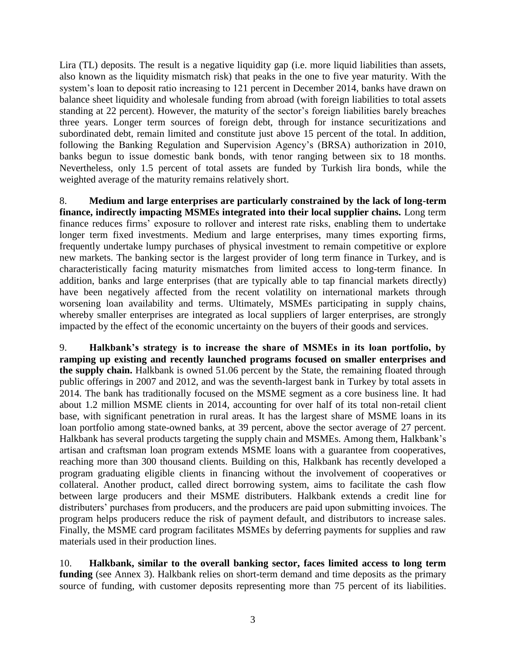Lira (TL) deposits. The result is a negative liquidity gap (i.e. more liquid liabilities than assets, also known as the liquidity mismatch risk) that peaks in the one to five year maturity. With the system's loan to deposit ratio increasing to 121 percent in December 2014, banks have drawn on balance sheet liquidity and wholesale funding from abroad (with foreign liabilities to total assets standing at 22 percent). However, the maturity of the sector's foreign liabilities barely breaches three years. Longer term sources of foreign debt, through for instance securitizations and subordinated debt, remain limited and constitute just above 15 percent of the total. In addition, following the Banking Regulation and Supervision Agency's (BRSA) authorization in 2010, banks begun to issue domestic bank bonds, with tenor ranging between six to 18 months. Nevertheless, only 1.5 percent of total assets are funded by Turkish lira bonds, while the weighted average of the maturity remains relatively short.

8. **Medium and large enterprises are particularly constrained by the lack of long-term finance, indirectly impacting MSMEs integrated into their local supplier chains.** Long term finance reduces firms' exposure to rollover and interest rate risks, enabling them to undertake longer term fixed investments. Medium and large enterprises, many times exporting firms, frequently undertake lumpy purchases of physical investment to remain competitive or explore new markets. The banking sector is the largest provider of long term finance in Turkey, and is characteristically facing maturity mismatches from limited access to long-term finance. In addition, banks and large enterprises (that are typically able to tap financial markets directly) have been negatively affected from the recent volatility on international markets through worsening loan availability and terms. Ultimately, MSMEs participating in supply chains, whereby smaller enterprises are integrated as local suppliers of larger enterprises, are strongly impacted by the effect of the economic uncertainty on the buyers of their goods and services.

9. **Halkbank's strategy is to increase the share of MSMEs in its loan portfolio, by ramping up existing and recently launched programs focused on smaller enterprises and the supply chain.** Halkbank is owned 51.06 percent by the State, the remaining floated through public offerings in 2007 and 2012, and was the seventh-largest bank in Turkey by total assets in 2014. The bank has traditionally focused on the MSME segment as a core business line. It had about 1.2 million MSME clients in 2014, accounting for over half of its total non-retail client base, with significant penetration in rural areas. It has the largest share of MSME loans in its loan portfolio among state-owned banks, at 39 percent, above the sector average of 27 percent. Halkbank has several products targeting the supply chain and MSMEs. Among them, Halkbank's artisan and craftsman loan program extends MSME loans with a guarantee from cooperatives, reaching more than 300 thousand clients. Building on this, Halkbank has recently developed a program graduating eligible clients in financing without the involvement of cooperatives or collateral. Another product, called direct borrowing system, aims to facilitate the cash flow between large producers and their MSME distributers. Halkbank extends a credit line for distributers' purchases from producers, and the producers are paid upon submitting invoices. The program helps producers reduce the risk of payment default, and distributors to increase sales. Finally, the MSME card program facilitates MSMEs by deferring payments for supplies and raw materials used in their production lines.

10. **Halkbank, similar to the overall banking sector, faces limited access to long term**  funding (see Annex 3). Halkbank relies on short-term demand and time deposits as the primary source of funding, with customer deposits representing more than 75 percent of its liabilities.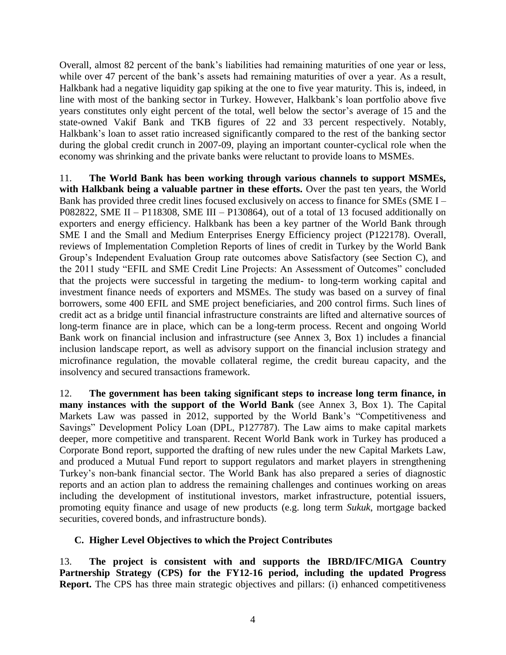Overall, almost 82 percent of the bank's liabilities had remaining maturities of one year or less, while over 47 percent of the bank's assets had remaining maturities of over a year. As a result, Halkbank had a negative liquidity gap spiking at the one to five year maturity. This is, indeed, in line with most of the banking sector in Turkey. However, Halkbank's loan portfolio above five years constitutes only eight percent of the total, well below the sector's average of 15 and the state-owned Vakif Bank and TKB figures of 22 and 33 percent respectively. Notably, Halkbank's loan to asset ratio increased significantly compared to the rest of the banking sector during the global credit crunch in 2007-09, playing an important counter-cyclical role when the economy was shrinking and the private banks were reluctant to provide loans to MSMEs.

11. **The World Bank has been working through various channels to support MSMEs, with Halkbank being a valuable partner in these efforts.** Over the past ten years, the World Bank has provided three credit lines focused exclusively on access to finance for SMEs (SME I – P082822, SME II – P118308, SME III – P130864), out of a total of 13 focused additionally on exporters and energy efficiency. Halkbank has been a key partner of the World Bank through SME I and the Small and Medium Enterprises Energy Efficiency project (P122178). Overall, reviews of Implementation Completion Reports of lines of credit in Turkey by the World Bank Group's Independent Evaluation Group rate outcomes above Satisfactory (see Section C), and the 2011 study "EFIL and SME Credit Line Projects: An Assessment of Outcomes" concluded that the projects were successful in targeting the medium- to long-term working capital and investment finance needs of exporters and MSMEs. The study was based on a survey of final borrowers, some 400 EFIL and SME project beneficiaries, and 200 control firms. Such lines of credit act as a bridge until financial infrastructure constraints are lifted and alternative sources of long-term finance are in place, which can be a long-term process. Recent and ongoing World Bank work on financial inclusion and infrastructure (see Annex 3, Box 1) includes a financial inclusion landscape report, as well as advisory support on the financial inclusion strategy and microfinance regulation, the movable collateral regime, the credit bureau capacity, and the insolvency and secured transactions framework.

12. **The government has been taking significant steps to increase long term finance, in many instances with the support of the World Bank** (see Annex 3, Box 1). The Capital Markets Law was passed in 2012, supported by the World Bank's "Competitiveness and Savings" Development Policy Loan (DPL, P127787). The Law aims to make capital markets deeper, more competitive and transparent. Recent World Bank work in Turkey has produced a Corporate Bond report, supported the drafting of new rules under the new Capital Markets Law, and produced a Mutual Fund report to support regulators and market players in strengthening Turkey's non-bank financial sector. The World Bank has also prepared a series of diagnostic reports and an action plan to address the remaining challenges and continues working on areas including the development of institutional investors, market infrastructure, potential issuers, promoting equity finance and usage of new products (e.g. long term *Sukuk*, mortgage backed securities, covered bonds, and infrastructure bonds).

## **C. Higher Level Objectives to which the Project Contributes**

13. **The project is consistent with and supports the IBRD/IFC/MIGA Country Partnership Strategy (CPS) for the FY12-16 period, including the updated Progress Report.** The CPS has three main strategic objectives and pillars: (i) enhanced competitiveness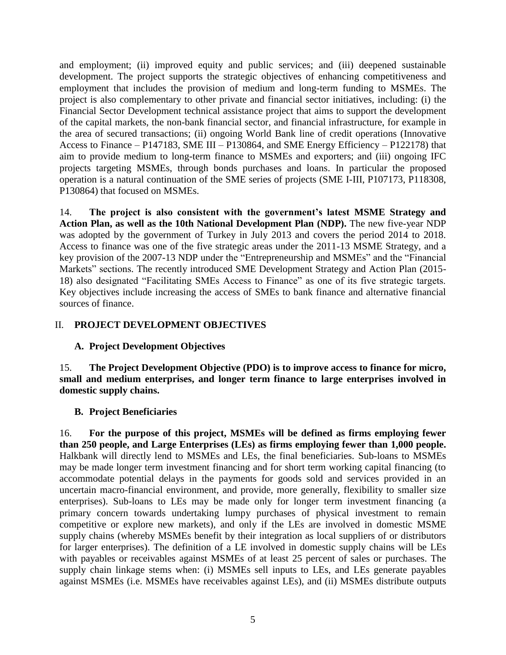and employment; (ii) improved equity and public services; and (iii) deepened sustainable development. The project supports the strategic objectives of enhancing competitiveness and employment that includes the provision of medium and long-term funding to MSMEs. The project is also complementary to other private and financial sector initiatives, including: (i) the Financial Sector Development technical assistance project that aims to support the development of the capital markets, the non-bank financial sector, and financial infrastructure, for example in the area of secured transactions; (ii) ongoing World Bank line of credit operations (Innovative Access to Finance – P147183, SME III – P130864, and SME Energy Efficiency – P122178) that aim to provide medium to long-term finance to MSMEs and exporters; and (iii) ongoing IFC projects targeting MSMEs, through bonds purchases and loans. In particular the proposed operation is a natural continuation of the SME series of projects (SME I-III, P107173, P118308, P130864) that focused on MSMEs.

14. **The project is also consistent with the government's latest MSME Strategy and Action Plan, as well as the 10th National Development Plan (NDP).** The new five-year NDP was adopted by the government of Turkey in July 2013 and covers the period 2014 to 2018. Access to finance was one of the five strategic areas under the 2011-13 MSME Strategy, and a key provision of the 2007-13 NDP under the "Entrepreneurship and MSMEs" and the "Financial Markets" sections. The recently introduced SME Development Strategy and Action Plan (2015-18) also designated "Facilitating SMEs Access to Finance" as one of its five strategic targets. Key objectives include increasing the access of SMEs to bank finance and alternative financial sources of finance.

## II. **PROJECT DEVELOPMENT OBJECTIVES**

## **A. Project Development Objectives**

15. **The Project Development Objective (PDO) is to improve access to finance for micro, small and medium enterprises, and longer term finance to large enterprises involved in domestic supply chains.**

## **B. Project Beneficiaries**

16. **For the purpose of this project, MSMEs will be defined as firms employing fewer than 250 people, and Large Enterprises (LEs) as firms employing fewer than 1,000 people.** Halkbank will directly lend to MSMEs and LEs, the final beneficiaries. Sub-loans to MSMEs may be made longer term investment financing and for short term working capital financing (to accommodate potential delays in the payments for goods sold and services provided in an uncertain macro-financial environment, and provide, more generally, flexibility to smaller size enterprises). Sub-loans to LEs may be made only for longer term investment financing (a primary concern towards undertaking lumpy purchases of physical investment to remain competitive or explore new markets), and only if the LEs are involved in domestic MSME supply chains (whereby MSMEs benefit by their integration as local suppliers of or distributors for larger enterprises). The definition of a LE involved in domestic supply chains will be LEs with payables or receivables against MSMEs of at least 25 percent of sales or purchases. The supply chain linkage stems when: (i) MSMEs sell inputs to LEs, and LEs generate payables against MSMEs (i.e. MSMEs have receivables against LEs), and (ii) MSMEs distribute outputs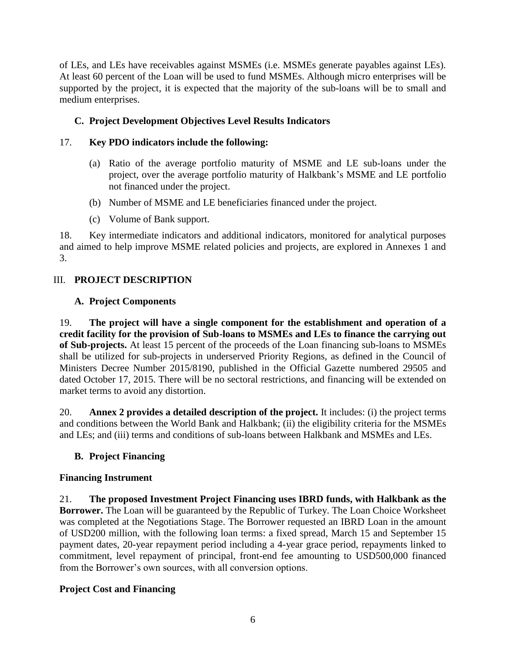of LEs, and LEs have receivables against MSMEs (i.e. MSMEs generate payables against LEs). At least 60 percent of the Loan will be used to fund MSMEs. Although micro enterprises will be supported by the project, it is expected that the majority of the sub-loans will be to small and medium enterprises.

# **C. Project Development Objectives Level Results Indicators**

# 17. **Key PDO indicators include the following:**

- (a) Ratio of the average portfolio maturity of MSME and LE sub-loans under the project, over the average portfolio maturity of Halkbank's MSME and LE portfolio not financed under the project.
- (b) Number of MSME and LE beneficiaries financed under the project.
- (c) Volume of Bank support.

18. Key intermediate indicators and additional indicators, monitored for analytical purposes and aimed to help improve MSME related policies and projects, are explored in Annexes 1 and 3.

# III. **PROJECT DESCRIPTION**

## **A. Project Components**

19. **The project will have a single component for the establishment and operation of a credit facility for the provision of Sub-loans to MSMEs and LEs to finance the carrying out of Sub-projects.** At least 15 percent of the proceeds of the Loan financing sub-loans to MSMEs shall be utilized for sub-projects in underserved Priority Regions, as defined in the Council of Ministers Decree Number 2015/8190, published in the Official Gazette numbered 29505 and dated October 17, 2015. There will be no sectoral restrictions, and financing will be extended on market terms to avoid any distortion.

20. **Annex 2 provides a detailed description of the project.** It includes: (i) the project terms and conditions between the World Bank and Halkbank; (ii) the eligibility criteria for the MSMEs and LEs; and (iii) terms and conditions of sub-loans between Halkbank and MSMEs and LEs.

# **B. Project Financing**

## **Financing Instrument**

21. **The proposed Investment Project Financing uses IBRD funds, with Halkbank as the Borrower.** The Loan will be guaranteed by the Republic of Turkey. The Loan Choice Worksheet was completed at the Negotiations Stage. The Borrower requested an IBRD Loan in the amount of USD200 million, with the following loan terms: a fixed spread, March 15 and September 15 payment dates, 20-year repayment period including a 4-year grace period, repayments linked to commitment, level repayment of principal, front-end fee amounting to USD500,000 financed from the Borrower's own sources, with all conversion options.

## **Project Cost and Financing**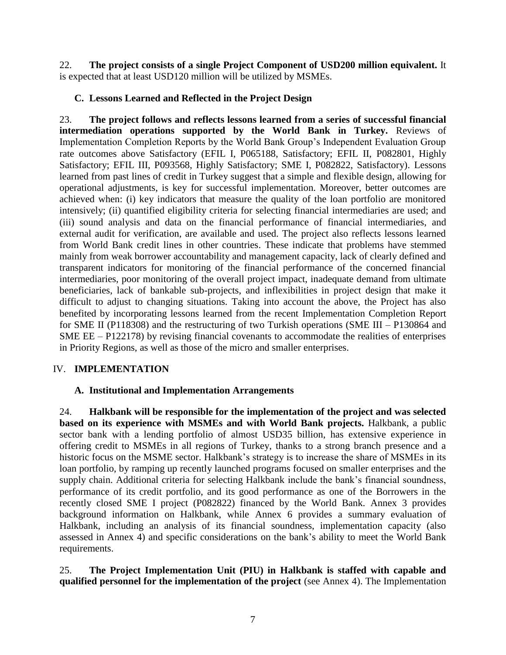22. **The project consists of a single Project Component of USD200 million equivalent.** It is expected that at least USD120 million will be utilized by MSMEs.

## **C. Lessons Learned and Reflected in the Project Design**

23. **The project follows and reflects lessons learned from a series of successful financial intermediation operations supported by the World Bank in Turkey.** Reviews of Implementation Completion Reports by the World Bank Group's Independent Evaluation Group rate outcomes above Satisfactory (EFIL I, P065188, Satisfactory; EFIL II, P082801, Highly Satisfactory; EFIL III, P093568, Highly Satisfactory; SME I, P082822, Satisfactory). Lessons learned from past lines of credit in Turkey suggest that a simple and flexible design, allowing for operational adjustments, is key for successful implementation. Moreover, better outcomes are achieved when: (i) key indicators that measure the quality of the loan portfolio are monitored intensively; (ii) quantified eligibility criteria for selecting financial intermediaries are used; and (iii) sound analysis and data on the financial performance of financial intermediaries, and external audit for verification, are available and used. The project also reflects lessons learned from World Bank credit lines in other countries. These indicate that problems have stemmed mainly from weak borrower accountability and management capacity, lack of clearly defined and transparent indicators for monitoring of the financial performance of the concerned financial intermediaries, poor monitoring of the overall project impact, inadequate demand from ultimate beneficiaries, lack of bankable sub-projects, and inflexibilities in project design that make it difficult to adjust to changing situations. Taking into account the above, the Project has also benefited by incorporating lessons learned from the recent Implementation Completion Report for SME II (P118308) and the restructuring of two Turkish operations (SME III – P130864 and SME EE – P122178) by revising financial covenants to accommodate the realities of enterprises in Priority Regions, as well as those of the micro and smaller enterprises.

## IV. **IMPLEMENTATION**

## **A. Institutional and Implementation Arrangements**

24. **Halkbank will be responsible for the implementation of the project and was selected based on its experience with MSMEs and with World Bank projects.** Halkbank, a public sector bank with a lending portfolio of almost USD35 billion, has extensive experience in offering credit to MSMEs in all regions of Turkey, thanks to a strong branch presence and a historic focus on the MSME sector. Halkbank's strategy is to increase the share of MSMEs in its loan portfolio, by ramping up recently launched programs focused on smaller enterprises and the supply chain. Additional criteria for selecting Halkbank include the bank's financial soundness, performance of its credit portfolio, and its good performance as one of the Borrowers in the recently closed SME I project (P082822) financed by the World Bank. Annex 3 provides background information on Halkbank, while Annex 6 provides a summary evaluation of Halkbank, including an analysis of its financial soundness, implementation capacity (also assessed in Annex 4) and specific considerations on the bank's ability to meet the World Bank requirements.

25. **The Project Implementation Unit (PIU) in Halkbank is staffed with capable and qualified personnel for the implementation of the project** (see Annex 4). The Implementation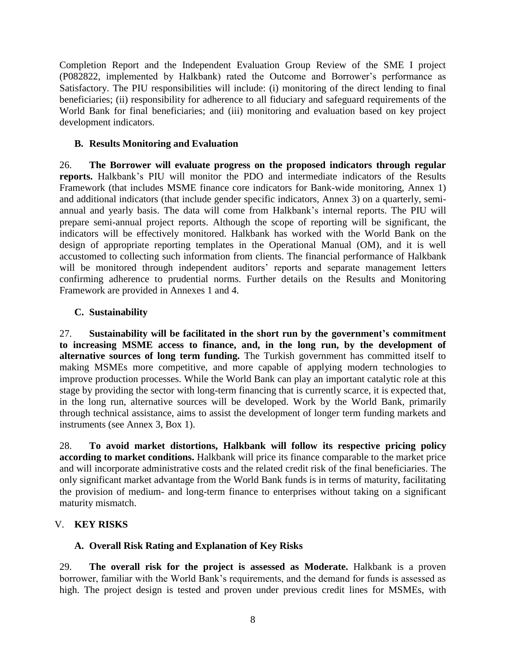Completion Report and the Independent Evaluation Group Review of the SME I project (P082822, implemented by Halkbank) rated the Outcome and Borrower's performance as Satisfactory. The PIU responsibilities will include: (i) monitoring of the direct lending to final beneficiaries; (ii) responsibility for adherence to all fiduciary and safeguard requirements of the World Bank for final beneficiaries; and (iii) monitoring and evaluation based on key project development indicators.

## **B. Results Monitoring and Evaluation**

26. **The Borrower will evaluate progress on the proposed indicators through regular reports.** Halkbank's PIU will monitor the PDO and intermediate indicators of the Results Framework (that includes MSME finance core indicators for Bank-wide monitoring, Annex 1) and additional indicators (that include gender specific indicators, Annex 3) on a quarterly, semiannual and yearly basis. The data will come from Halkbank's internal reports. The PIU will prepare semi-annual project reports. Although the scope of reporting will be significant, the indicators will be effectively monitored. Halkbank has worked with the World Bank on the design of appropriate reporting templates in the Operational Manual (OM), and it is well accustomed to collecting such information from clients. The financial performance of Halkbank will be monitored through independent auditors' reports and separate management letters confirming adherence to prudential norms. Further details on the Results and Monitoring Framework are provided in Annexes 1 and 4.

# **C. Sustainability**

27. **Sustainability will be facilitated in the short run by the government's commitment to increasing MSME access to finance, and, in the long run, by the development of alternative sources of long term funding.** The Turkish government has committed itself to making MSMEs more competitive, and more capable of applying modern technologies to improve production processes. While the World Bank can play an important catalytic role at this stage by providing the sector with long-term financing that is currently scarce, it is expected that, in the long run, alternative sources will be developed. Work by the World Bank, primarily through technical assistance, aims to assist the development of longer term funding markets and instruments (see Annex 3, Box 1).

28. **To avoid market distortions, Halkbank will follow its respective pricing policy according to market conditions.** Halkbank will price its finance comparable to the market price and will incorporate administrative costs and the related credit risk of the final beneficiaries. The only significant market advantage from the World Bank funds is in terms of maturity, facilitating the provision of medium- and long-term finance to enterprises without taking on a significant maturity mismatch.

# V. **KEY RISKS**

# **A. Overall Risk Rating and Explanation of Key Risks**

29. **The overall risk for the project is assessed as Moderate.** Halkbank is a proven borrower, familiar with the World Bank's requirements, and the demand for funds is assessed as high. The project design is tested and proven under previous credit lines for MSMEs, with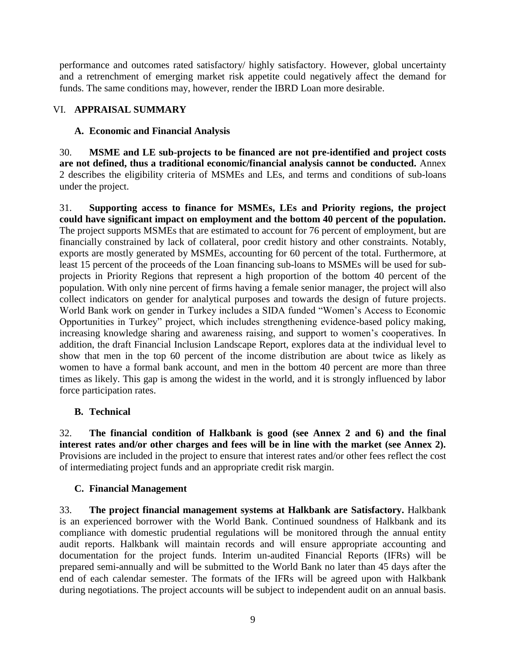performance and outcomes rated satisfactory/ highly satisfactory. However, global uncertainty and a retrenchment of emerging market risk appetite could negatively affect the demand for funds. The same conditions may, however, render the IBRD Loan more desirable.

# VI. **APPRAISAL SUMMARY**

## **A. Economic and Financial Analysis**

30. **MSME and LE sub-projects to be financed are not pre-identified and project costs are not defined, thus a traditional economic/financial analysis cannot be conducted.** Annex 2 describes the eligibility criteria of MSMEs and LEs, and terms and conditions of sub-loans under the project.

31. **Supporting access to finance for MSMEs, LEs and Priority regions, the project could have significant impact on employment and the bottom 40 percent of the population.** The project supports MSMEs that are estimated to account for 76 percent of employment, but are financially constrained by lack of collateral, poor credit history and other constraints. Notably, exports are mostly generated by MSMEs, accounting for 60 percent of the total. Furthermore, at least 15 percent of the proceeds of the Loan financing sub-loans to MSMEs will be used for subprojects in Priority Regions that represent a high proportion of the bottom 40 percent of the population. With only nine percent of firms having a female senior manager, the project will also collect indicators on gender for analytical purposes and towards the design of future projects. World Bank work on gender in Turkey includes a SIDA funded "Women's Access to Economic Opportunities in Turkey" project, which includes strengthening evidence-based policy making, increasing knowledge sharing and awareness raising, and support to women's cooperatives. In addition, the draft Financial Inclusion Landscape Report, explores data at the individual level to show that men in the top 60 percent of the income distribution are about twice as likely as women to have a formal bank account, and men in the bottom 40 percent are more than three times as likely. This gap is among the widest in the world, and it is strongly influenced by labor force participation rates.

## **B. Technical**

32. **The financial condition of Halkbank is good (see Annex 2 and 6) and the final interest rates and/or other charges and fees will be in line with the market (see Annex 2).** Provisions are included in the project to ensure that interest rates and/or other fees reflect the cost of intermediating project funds and an appropriate credit risk margin.

## **C. Financial Management**

33. **The project financial management systems at Halkbank are Satisfactory.** Halkbank is an experienced borrower with the World Bank. Continued soundness of Halkbank and its compliance with domestic prudential regulations will be monitored through the annual entity audit reports. Halkbank will maintain records and will ensure appropriate accounting and documentation for the project funds. Interim un-audited Financial Reports (IFRs) will be prepared semi-annually and will be submitted to the World Bank no later than 45 days after the end of each calendar semester. The formats of the IFRs will be agreed upon with Halkbank during negotiations. The project accounts will be subject to independent audit on an annual basis.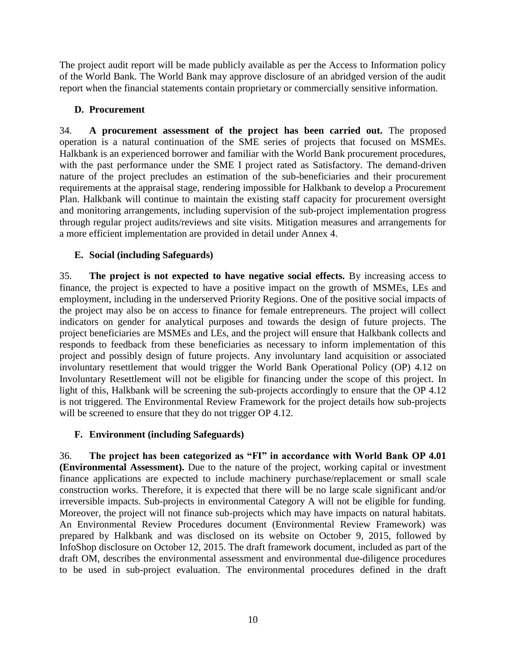The project audit report will be made publicly available as per the Access to Information policy of the World Bank. The World Bank may approve disclosure of an abridged version of the audit report when the financial statements contain proprietary or commercially sensitive information.

# **D. Procurement**

34. **A procurement assessment of the project has been carried out.** The proposed operation is a natural continuation of the SME series of projects that focused on MSMEs. Halkbank is an experienced borrower and familiar with the World Bank procurement procedures, with the past performance under the SME I project rated as Satisfactory. The demand-driven nature of the project precludes an estimation of the sub-beneficiaries and their procurement requirements at the appraisal stage, rendering impossible for Halkbank to develop a Procurement Plan. Halkbank will continue to maintain the existing staff capacity for procurement oversight and monitoring arrangements, including supervision of the sub-project implementation progress through regular project audits/reviews and site visits. Mitigation measures and arrangements for a more efficient implementation are provided in detail under Annex 4.

# **E. Social (including Safeguards)**

35. **The project is not expected to have negative social effects.** By increasing access to finance, the project is expected to have a positive impact on the growth of MSMEs, LEs and employment, including in the underserved Priority Regions. One of the positive social impacts of the project may also be on access to finance for female entrepreneurs. The project will collect indicators on gender for analytical purposes and towards the design of future projects. The project beneficiaries are MSMEs and LEs, and the project will ensure that Halkbank collects and responds to feedback from these beneficiaries as necessary to inform implementation of this project and possibly design of future projects. Any involuntary land acquisition or associated involuntary resettlement that would trigger the World Bank Operational Policy (OP) 4.12 on Involuntary Resettlement will not be eligible for financing under the scope of this project. In light of this, Halkbank will be screening the sub-projects accordingly to ensure that the OP 4.12 is not triggered. The Environmental Review Framework for the project details how sub-projects will be screened to ensure that they do not trigger OP 4.12.

## **F. Environment (including Safeguards)**

36. **The project has been categorized as "FI" in accordance with World Bank OP 4.01 (Environmental Assessment).** Due to the nature of the project, working capital or investment finance applications are expected to include machinery purchase/replacement or small scale construction works. Therefore, it is expected that there will be no large scale significant and/or irreversible impacts. Sub-projects in environmental Category A will not be eligible for funding. Moreover, the project will not finance sub-projects which may have impacts on natural habitats. An Environmental Review Procedures document (Environmental Review Framework) was prepared by Halkbank and was disclosed on its website on October 9, 2015, followed by InfoShop disclosure on October 12, 2015. The draft framework document, included as part of the draft OM, describes the environmental assessment and environmental due-diligence procedures to be used in sub-project evaluation. The environmental procedures defined in the draft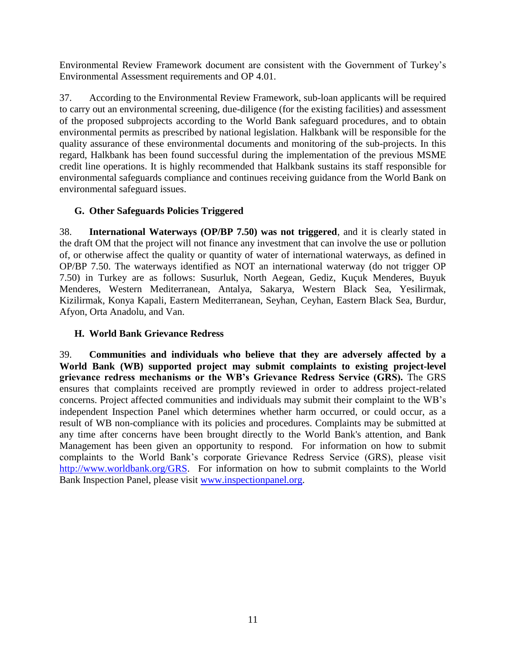Environmental Review Framework document are consistent with the Government of Turkey's Environmental Assessment requirements and OP 4.01.

37. According to the Environmental Review Framework, sub-loan applicants will be required to carry out an environmental screening, due-diligence (for the existing facilities) and assessment of the proposed subprojects according to the World Bank safeguard procedures, and to obtain environmental permits as prescribed by national legislation. Halkbank will be responsible for the quality assurance of these environmental documents and monitoring of the sub-projects. In this regard, Halkbank has been found successful during the implementation of the previous MSME credit line operations. It is highly recommended that Halkbank sustains its staff responsible for environmental safeguards compliance and continues receiving guidance from the World Bank on environmental safeguard issues.

# **G. Other Safeguards Policies Triggered**

38. **International Waterways (OP/BP 7.50) was not triggered**, and it is clearly stated in the draft OM that the project will not finance any investment that can involve the use or pollution of, or otherwise affect the quality or quantity of water of international waterways, as defined in OP/BP 7.50. The waterways identified as NOT an international waterway (do not trigger OP 7.50) in Turkey are as follows: Susurluk, North Aegean, Gediz, Kuçuk Menderes, Buyuk Menderes, Western Mediterranean, Antalya, Sakarya, Western Black Sea, Yesilirmak, Kizilirmak, Konya Kapali, Eastern Mediterranean, Seyhan, Ceyhan, Eastern Black Sea, Burdur, Afyon, Orta Anadolu, and Van.

# **H. World Bank Grievance Redress**

39. **Communities and individuals who believe that they are adversely affected by a World Bank (WB) supported project may submit complaints to existing project-level grievance redress mechanisms or the WB's Grievance Redress Service (GRS).** The GRS ensures that complaints received are promptly reviewed in order to address project-related concerns. Project affected communities and individuals may submit their complaint to the WB's independent Inspection Panel which determines whether harm occurred, or could occur, as a result of WB non-compliance with its policies and procedures. Complaints may be submitted at any time after concerns have been brought directly to the World Bank's attention, and Bank Management has been given an opportunity to respond. For information on how to submit complaints to the World Bank's corporate Grievance Redress Service (GRS), please visit [http://www.worldbank.org/GRS.](http://www.worldbank.org/GRS) For information on how to submit complaints to the World Bank Inspection Panel, please visit [www.inspectionpanel.org.](http://www.inspectionpanel.org/)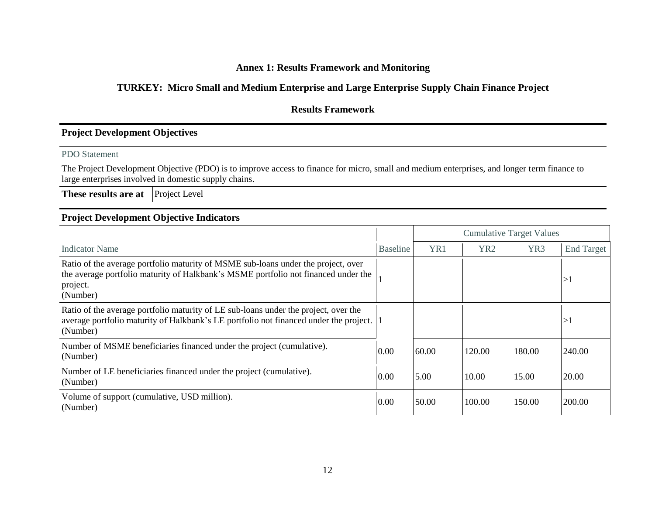## **Annex 1: Results Framework and Monitoring**

# **TURKEY: Micro Small and Medium Enterprise and Large Enterprise Supply Chain Finance Project**

# **Results Framework**

#### **Project Development Objectives**

#### PDO Statement

The Project Development Objective (PDO) is to improve access to finance for micro, small and medium enterprises, and longer term finance to large enterprises involved in domestic supply chains.

**These results are at** Project Level

#### **Project Development Objective Indicators**

|                                                                                                                                                                                                 |                 | <b>Cumulative Target Values</b> |                 |        |                   |
|-------------------------------------------------------------------------------------------------------------------------------------------------------------------------------------------------|-----------------|---------------------------------|-----------------|--------|-------------------|
| <b>Indicator Name</b>                                                                                                                                                                           | <b>Baseline</b> | YR1                             | YR <sub>2</sub> | YR3    | <b>End Target</b> |
| Ratio of the average portfolio maturity of MSME sub-loans under the project, over<br>the average portfolio maturity of Halkbank's MSME portfolio not financed under the<br>project.<br>(Number) |                 |                                 |                 |        | >1                |
| Ratio of the average portfolio maturity of LE sub-loans under the project, over the<br>average portfolio maturity of Halkbank's LE portfolio not financed under the project. 1<br>(Number)      |                 |                                 |                 |        | >1                |
| Number of MSME beneficiaries financed under the project (cumulative).<br>(Number)                                                                                                               | 0.00            | 60.00                           | 120.00          | 180.00 | 240.00            |
| Number of LE beneficiaries financed under the project (cumulative).<br>(Number)                                                                                                                 | 0.00            | 5.00                            | 10.00           | 15.00  | 20.00             |
| Volume of support (cumulative, USD million).<br>(Number)                                                                                                                                        | 0.00            | 50.00                           | 100.00          | 150.00 | 200.00            |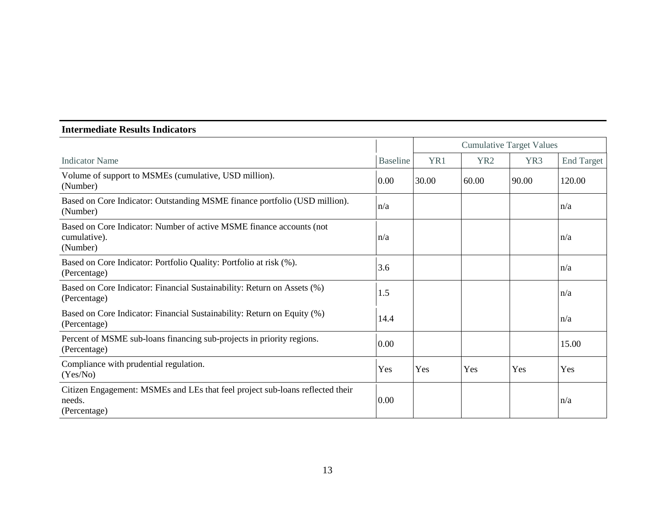## **Intermediate Results Indicators**

|                                                                                                         |                 | <b>Cumulative Target Values</b> |                 |                 |                   |
|---------------------------------------------------------------------------------------------------------|-----------------|---------------------------------|-----------------|-----------------|-------------------|
| <b>Indicator Name</b>                                                                                   | <b>Baseline</b> | YR1                             | YR <sub>2</sub> | YR <sub>3</sub> | <b>End Target</b> |
| Volume of support to MSMEs (cumulative, USD million).<br>(Number)                                       | 0.00            | 30.00                           | 60.00           | 90.00           | 120.00            |
| Based on Core Indicator: Outstanding MSME finance portfolio (USD million).<br>(Number)                  | n/a             |                                 |                 |                 | n/a               |
| Based on Core Indicator: Number of active MSME finance accounts (not<br>cumulative).<br>(Number)        | n/a             |                                 |                 |                 | n/a               |
| Based on Core Indicator: Portfolio Quality: Portfolio at risk (%).<br>(Percentage)                      | 3.6             |                                 |                 |                 | n/a               |
| Based on Core Indicator: Financial Sustainability: Return on Assets (%)<br>(Percentage)                 | 1.5             |                                 |                 |                 | n/a               |
| Based on Core Indicator: Financial Sustainability: Return on Equity (%)<br>(Percentage)                 | 14.4            |                                 |                 |                 | n/a               |
| Percent of MSME sub-loans financing sub-projects in priority regions.<br>(Percentage)                   | 0.00            |                                 |                 |                 | 15.00             |
| Compliance with prudential regulation.<br>(Yes/No)                                                      | Yes             | Yes                             | Yes             | Yes             | Yes               |
| Citizen Engagement: MSMEs and LEs that feel project sub-loans reflected their<br>needs.<br>(Percentage) | 0.00            |                                 |                 |                 | n/a               |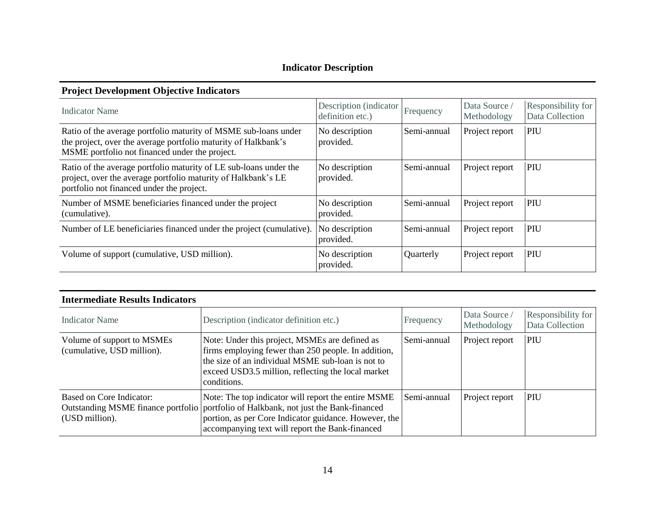# **Indicator Description**

# **Project Development Objective Indicators**

| <b>Indicator Name</b>                                                                                                                                                               | Description (indicator<br>definition etc.) | Frequency   | Data Source<br>Methodology | Responsibility for<br>Data Collection |
|-------------------------------------------------------------------------------------------------------------------------------------------------------------------------------------|--------------------------------------------|-------------|----------------------------|---------------------------------------|
| Ratio of the average portfolio maturity of MSME sub-loans under<br>the project, over the average portfolio maturity of Halkbank's<br>MSME portfolio not financed under the project. | No description<br>provided.                | Semi-annual | Project report             | PIU                                   |
| Ratio of the average portfolio maturity of LE sub-loans under the<br>project, over the average portfolio maturity of Halkbank's LE<br>portfolio not financed under the project.     | No description<br>provided.                | Semi-annual | Project report             | PIU                                   |
| Number of MSME beneficiaries financed under the project<br>(cumulative).                                                                                                            | No description<br>provided.                | Semi-annual | Project report             | PIU                                   |
| Number of LE beneficiaries financed under the project (cumulative).                                                                                                                 | No description<br>provided.                | Semi-annual | Project report             | PIU                                   |
| Volume of support (cumulative, USD million).                                                                                                                                        | No description<br>provided.                | Quarterly   | Project report             | PIU                                   |

| Intermediate Results Indicators                          |                                                                                                                                                                                                                                                           |             |                              |                                       |
|----------------------------------------------------------|-----------------------------------------------------------------------------------------------------------------------------------------------------------------------------------------------------------------------------------------------------------|-------------|------------------------------|---------------------------------------|
| Indicator Name                                           | Description (indicator definition etc.)                                                                                                                                                                                                                   | Frequency   | Data Source /<br>Methodology | Responsibility for<br>Data Collection |
| Volume of support to MSMEs<br>(cumulative, USD million). | Note: Under this project, MSMEs are defined as<br>firms employing fewer than 250 people. In addition,<br>the size of an individual MSME sub-loan is not to<br>exceed USD3.5 million, reflecting the local market<br>conditions.                           | Semi-annual | Project report               | <b>PIU</b>                            |
| Based on Core Indicator:<br>(USD million).               | Note: The top indicator will report the entire MSME<br>Outstanding MSME finance portfolio   portfolio of Halkbank, not just the Bank-financed<br>portion, as per Core Indicator guidance. However, the<br>accompanying text will report the Bank-financed | Semi-annual | Project report               | <b>PIU</b>                            |

# **Intermediate Results Indicators**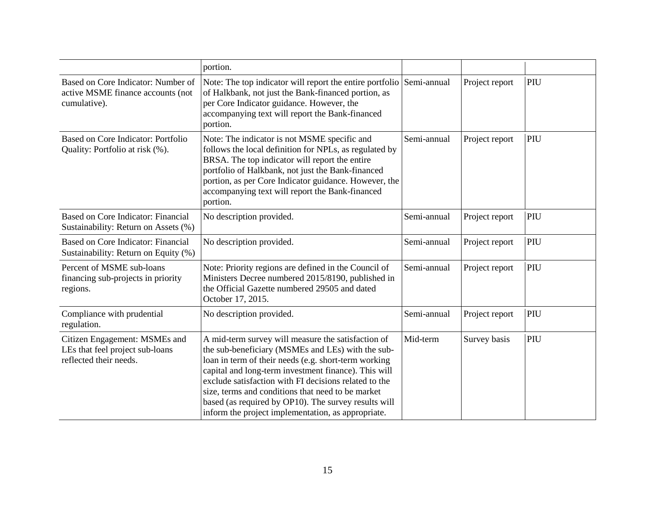|                                                                                            | portion.                                                                                                                                                                                                                                                                                                                                                                                                                                            |             |                |     |
|--------------------------------------------------------------------------------------------|-----------------------------------------------------------------------------------------------------------------------------------------------------------------------------------------------------------------------------------------------------------------------------------------------------------------------------------------------------------------------------------------------------------------------------------------------------|-------------|----------------|-----|
| Based on Core Indicator: Number of<br>active MSME finance accounts (not<br>cumulative).    | Note: The top indicator will report the entire portfolio Semi-annual<br>of Halkbank, not just the Bank-financed portion, as<br>per Core Indicator guidance. However, the<br>accompanying text will report the Bank-financed<br>portion.                                                                                                                                                                                                             |             | Project report | PIU |
| Based on Core Indicator: Portfolio<br>Quality: Portfolio at risk (%).                      | Note: The indicator is not MSME specific and<br>follows the local definition for NPLs, as regulated by<br>BRSA. The top indicator will report the entire<br>portfolio of Halkbank, not just the Bank-financed<br>portion, as per Core Indicator guidance. However, the<br>accompanying text will report the Bank-financed<br>portion.                                                                                                               | Semi-annual | Project report | PIU |
| Based on Core Indicator: Financial<br>Sustainability: Return on Assets (%)                 | No description provided.                                                                                                                                                                                                                                                                                                                                                                                                                            | Semi-annual | Project report | PIU |
| Based on Core Indicator: Financial<br>Sustainability: Return on Equity (%)                 | No description provided.                                                                                                                                                                                                                                                                                                                                                                                                                            | Semi-annual | Project report | PIU |
| Percent of MSME sub-loans<br>financing sub-projects in priority<br>regions.                | Note: Priority regions are defined in the Council of<br>Ministers Decree numbered 2015/8190, published in<br>the Official Gazette numbered 29505 and dated<br>October 17, 2015.                                                                                                                                                                                                                                                                     | Semi-annual | Project report | PIU |
| Compliance with prudential<br>regulation.                                                  | No description provided.                                                                                                                                                                                                                                                                                                                                                                                                                            | Semi-annual | Project report | PIU |
| Citizen Engagement: MSMEs and<br>LEs that feel project sub-loans<br>reflected their needs. | A mid-term survey will measure the satisfaction of<br>the sub-beneficiary (MSMEs and LEs) with the sub-<br>loan in term of their needs (e.g. short-term working<br>capital and long-term investment finance). This will<br>exclude satisfaction with FI decisions related to the<br>size, terms and conditions that need to be market<br>based (as required by OP10). The survey results will<br>inform the project implementation, as appropriate. | Mid-term    | Survey basis   | PIU |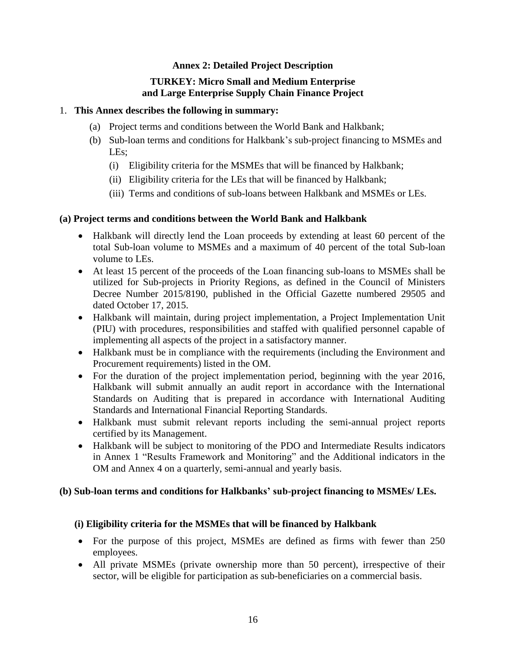## **Annex 2: Detailed Project Description**

# **TURKEY: Micro Small and Medium Enterprise and Large Enterprise Supply Chain Finance Project**

#### 1. **This Annex describes the following in summary:**

- (a) Project terms and conditions between the World Bank and Halkbank;
- (b) Sub-loan terms and conditions for Halkbank's sub-project financing to MSMEs and LEs;
	- (i) Eligibility criteria for the MSMEs that will be financed by Halkbank;
	- (ii) Eligibility criteria for the LEs that will be financed by Halkbank;
	- (iii) Terms and conditions of sub-loans between Halkbank and MSMEs or LEs.

## **(a) Project terms and conditions between the World Bank and Halkbank**

- Halkbank will directly lend the Loan proceeds by extending at least 60 percent of the total Sub-loan volume to MSMEs and a maximum of 40 percent of the total Sub-loan volume to LEs.
- At least 15 percent of the proceeds of the Loan financing sub-loans to MSMEs shall be utilized for Sub-projects in Priority Regions, as defined in the Council of Ministers Decree Number 2015/8190, published in the Official Gazette numbered 29505 and dated October 17, 2015.
- Halkbank will maintain, during project implementation, a Project Implementation Unit (PIU) with procedures, responsibilities and staffed with qualified personnel capable of implementing all aspects of the project in a satisfactory manner.
- Halkbank must be in compliance with the requirements (including the Environment and Procurement requirements) listed in the OM.
- For the duration of the project implementation period, beginning with the year 2016, Halkbank will submit annually an audit report in accordance with the International Standards on Auditing that is prepared in accordance with International Auditing Standards and International Financial Reporting Standards.
- Halkbank must submit relevant reports including the semi-annual project reports certified by its Management.
- Halkbank will be subject to monitoring of the PDO and Intermediate Results indicators in Annex 1 "Results Framework and Monitoring" and the Additional indicators in the OM and Annex 4 on a quarterly, semi-annual and yearly basis.

## **(b) Sub-loan terms and conditions for Halkbanks' sub-project financing to MSMEs/ LEs.**

## **(i) Eligibility criteria for the MSMEs that will be financed by Halkbank**

- For the purpose of this project, MSMEs are defined as firms with fewer than 250 employees.
- All private MSMEs (private ownership more than 50 percent), irrespective of their sector, will be eligible for participation as sub-beneficiaries on a commercial basis.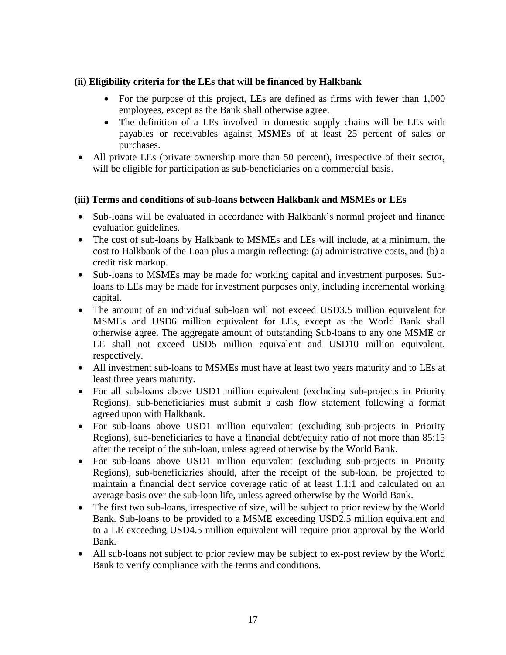## **(ii) Eligibility criteria for the LEs that will be financed by Halkbank**

- For the purpose of this project, LEs are defined as firms with fewer than 1,000 employees, except as the Bank shall otherwise agree.
- The definition of a LEs involved in domestic supply chains will be LEs with payables or receivables against MSMEs of at least 25 percent of sales or purchases.
- All private LEs (private ownership more than 50 percent), irrespective of their sector, will be eligible for participation as sub-beneficiaries on a commercial basis.

## **(iii) Terms and conditions of sub-loans between Halkbank and MSMEs or LEs**

- Sub-loans will be evaluated in accordance with Halkbank's normal project and finance evaluation guidelines.
- The cost of sub-loans by Halkbank to MSMEs and LEs will include, at a minimum, the cost to Halkbank of the Loan plus a margin reflecting: (a) administrative costs, and (b) a credit risk markup.
- Sub-loans to MSMEs may be made for working capital and investment purposes. Subloans to LEs may be made for investment purposes only, including incremental working capital.
- The amount of an individual sub-loan will not exceed USD3.5 million equivalent for MSMEs and USD6 million equivalent for LEs, except as the World Bank shall otherwise agree. The aggregate amount of outstanding Sub-loans to any one MSME or LE shall not exceed USD5 million equivalent and USD10 million equivalent, respectively.
- All investment sub-loans to MSMEs must have at least two years maturity and to LEs at least three years maturity.
- For all sub-loans above USD1 million equivalent (excluding sub-projects in Priority Regions), sub-beneficiaries must submit a cash flow statement following a format agreed upon with Halkbank.
- For sub-loans above USD1 million equivalent (excluding sub-projects in Priority Regions), sub-beneficiaries to have a financial debt/equity ratio of not more than 85:15 after the receipt of the sub-loan, unless agreed otherwise by the World Bank.
- For sub-loans above USD1 million equivalent (excluding sub-projects in Priority Regions), sub-beneficiaries should, after the receipt of the sub-loan, be projected to maintain a financial debt service coverage ratio of at least 1.1:1 and calculated on an average basis over the sub-loan life, unless agreed otherwise by the World Bank.
- The first two sub-loans, irrespective of size, will be subject to prior review by the World Bank. Sub-loans to be provided to a MSME exceeding USD2.5 million equivalent and to a LE exceeding USD4.5 million equivalent will require prior approval by the World Bank.
- All sub-loans not subject to prior review may be subject to ex-post review by the World Bank to verify compliance with the terms and conditions.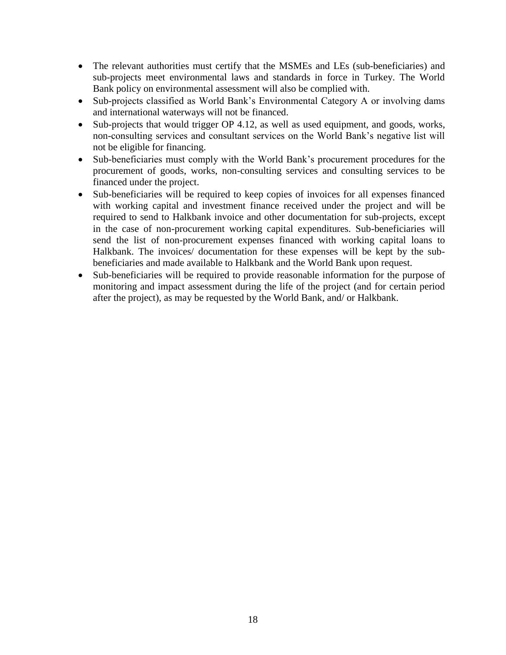- The relevant authorities must certify that the MSMEs and LEs (sub-beneficiaries) and sub-projects meet environmental laws and standards in force in Turkey. The World Bank policy on environmental assessment will also be complied with.
- Sub-projects classified as World Bank's Environmental Category A or involving dams and international waterways will not be financed.
- Sub-projects that would trigger OP 4.12, as well as used equipment, and goods, works, non-consulting services and consultant services on the World Bank's negative list will not be eligible for financing.
- Sub-beneficiaries must comply with the World Bank's procurement procedures for the procurement of goods, works, non-consulting services and consulting services to be financed under the project.
- Sub-beneficiaries will be required to keep copies of invoices for all expenses financed with working capital and investment finance received under the project and will be required to send to Halkbank invoice and other documentation for sub-projects, except in the case of non-procurement working capital expenditures. Sub-beneficiaries will send the list of non-procurement expenses financed with working capital loans to Halkbank. The invoices/ documentation for these expenses will be kept by the subbeneficiaries and made available to Halkbank and the World Bank upon request.
- Sub-beneficiaries will be required to provide reasonable information for the purpose of monitoring and impact assessment during the life of the project (and for certain period after the project), as may be requested by the World Bank, and/ or Halkbank.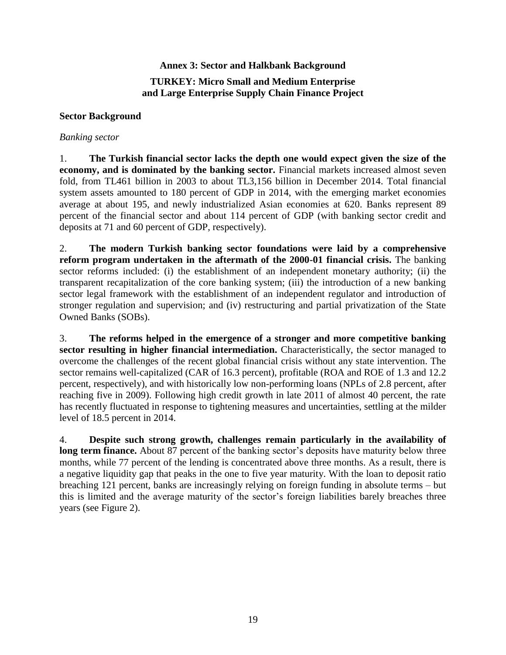# **Annex 3: Sector and Halkbank Background TURKEY: Micro Small and Medium Enterprise and Large Enterprise Supply Chain Finance Project**

#### **Sector Background**

#### *Banking sector*

1. **The Turkish financial sector lacks the depth one would expect given the size of the economy, and is dominated by the banking sector.** Financial markets increased almost seven fold, from TL461 billion in 2003 to about TL3,156 billion in December 2014. Total financial system assets amounted to 180 percent of GDP in 2014, with the emerging market economies average at about 195, and newly industrialized Asian economies at 620. Banks represent 89 percent of the financial sector and about 114 percent of GDP (with banking sector credit and deposits at 71 and 60 percent of GDP, respectively).

2. **The modern Turkish banking sector foundations were laid by a comprehensive reform program undertaken in the aftermath of the 2000-01 financial crisis.** The banking sector reforms included: (i) the establishment of an independent monetary authority; (ii) the transparent recapitalization of the core banking system; (iii) the introduction of a new banking sector legal framework with the establishment of an independent regulator and introduction of stronger regulation and supervision; and (iv) restructuring and partial privatization of the State Owned Banks (SOBs).

3. **The reforms helped in the emergence of a stronger and more competitive banking sector resulting in higher financial intermediation.** Characteristically, the sector managed to overcome the challenges of the recent global financial crisis without any state intervention. The sector remains well-capitalized (CAR of 16.3 percent), profitable (ROA and ROE of 1.3 and 12.2 percent, respectively), and with historically low non-performing loans (NPLs of 2.8 percent, after reaching five in 2009). Following high credit growth in late 2011 of almost 40 percent, the rate has recently fluctuated in response to tightening measures and uncertainties, settling at the milder level of 18.5 percent in 2014.

4. **Despite such strong growth, challenges remain particularly in the availability of long term finance.** About 87 percent of the banking sector's deposits have maturity below three months, while 77 percent of the lending is concentrated above three months. As a result, there is a negative liquidity gap that peaks in the one to five year maturity. With the loan to deposit ratio breaching 121 percent, banks are increasingly relying on foreign funding in absolute terms – but this is limited and the average maturity of the sector's foreign liabilities barely breaches three years (see Figure 2).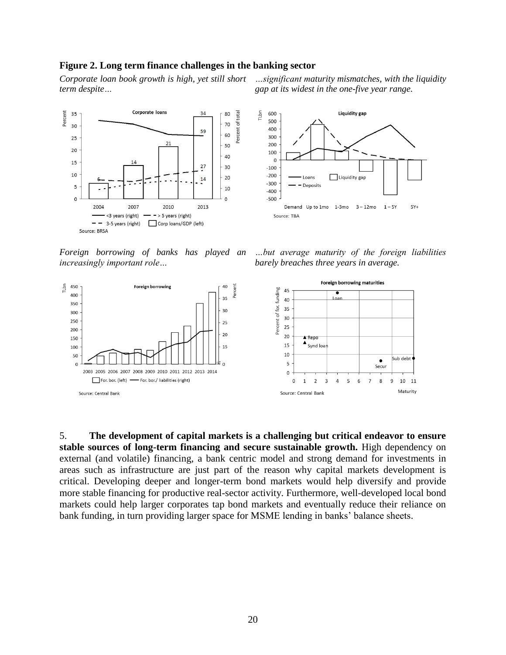#### **Figure 2. Long term finance challenges in the banking sector**

*Corporate loan book growth is high, yet still short term despite…*



*Foreign borrowing of banks has played an increasingly important role…*



*…significant maturity mismatches, with the liquidity gap at its widest in the one-five year range.*







5. **The development of capital markets is a challenging but critical endeavor to ensure stable sources of long-term financing and secure sustainable growth.** High dependency on external (and volatile) financing, a bank centric model and strong demand for investments in areas such as infrastructure are just part of the reason why capital markets development is critical. Developing deeper and longer-term bond markets would help diversify and provide more stable financing for productive real-sector activity. Furthermore, well-developed local bond markets could help larger corporates tap bond markets and eventually reduce their reliance on bank funding, in turn providing larger space for MSME lending in banks' balance sheets.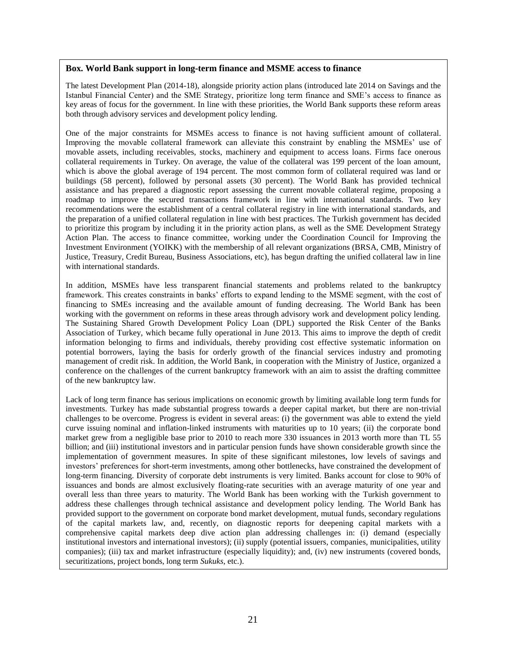#### **Box. World Bank support in long-term finance and MSME access to finance**

The latest Development Plan (2014-18), alongside priority action plans (introduced late 2014 on Savings and the Istanbul Financial Center) and the SME Strategy, prioritize long term finance and SME's access to finance as key areas of focus for the government. In line with these priorities, the World Bank supports these reform areas both through advisory services and development policy lending.

One of the major constraints for MSMEs access to finance is not having sufficient amount of collateral. Improving the movable collateral framework can alleviate this constraint by enabling the MSMEs' use of movable assets, including receivables, stocks, machinery and equipment to access loans. Firms face onerous collateral requirements in Turkey. On average, the value of the collateral was 199 percent of the loan amount, which is above the global average of 194 percent. The most common form of collateral required was land or buildings (58 percent), followed by personal assets (30 percent). The World Bank has provided technical assistance and has prepared a diagnostic report assessing the current movable collateral regime, proposing a roadmap to improve the secured transactions framework in line with international standards. Two key recommendations were the establishment of a central collateral registry in line with international standards, and the preparation of a unified collateral regulation in line with best practices. The Turkish government has decided to prioritize this program by including it in the priority action plans, as well as the SME Development Strategy Action Plan. The access to finance committee, working under the Coordination Council for Improving the Investment Environment (YOIKK) with the membership of all relevant organizations (BRSA, CMB, Ministry of Justice, Treasury, Credit Bureau, Business Associations, etc), has begun drafting the unified collateral law in line with international standards.

In addition, MSMEs have less transparent financial statements and problems related to the bankruptcy framework. This creates constraints in banks' efforts to expand lending to the MSME segment, with the cost of financing to SMEs increasing and the available amount of funding decreasing. The World Bank has been working with the government on reforms in these areas through advisory work and development policy lending. The Sustaining Shared Growth Development Policy Loan (DPL) supported the Risk Center of the Banks Association of Turkey, which became fully operational in June 2013. This aims to improve the depth of credit information belonging to firms and individuals, thereby providing cost effective systematic information on potential borrowers, laying the basis for orderly growth of the financial services industry and promoting management of credit risk. In addition, the World Bank, in cooperation with the Ministry of Justice, organized a conference on the challenges of the current bankruptcy framework with an aim to assist the drafting committee of the new bankruptcy law.

Lack of long term finance has serious implications on economic growth by limiting available long term funds for investments. Turkey has made substantial progress towards a deeper capital market, but there are non-trivial challenges to be overcome. Progress is evident in several areas: (i) the government was able to extend the yield curve issuing nominal and inflation-linked instruments with maturities up to 10 years; (ii) the corporate bond market grew from a negligible base prior to 2010 to reach more 330 issuances in 2013 worth more than TL 55 billion; and (iii) institutional investors and in particular pension funds have shown considerable growth since the implementation of government measures. In spite of these significant milestones, low levels of savings and investors' preferences for short-term investments, among other bottlenecks, have constrained the development of long-term financing. Diversity of corporate debt instruments is very limited. Banks account for close to 90% of issuances and bonds are almost exclusively floating-rate securities with an average maturity of one year and overall less than three years to maturity. The World Bank has been working with the Turkish government to address these challenges through technical assistance and development policy lending. The World Bank has provided support to the government on corporate bond market development, mutual funds, secondary regulations of the capital markets law, and, recently, on diagnostic reports for deepening capital markets with a comprehensive capital markets deep dive action plan addressing challenges in: (i) demand (especially institutional investors and international investors); (ii) supply (potential issuers, companies, municipalities, utility companies); (iii) tax and market infrastructure (especially liquidity); and, (iv) new instruments (covered bonds, securitizations, project bonds, long term *Sukuks*, etc.).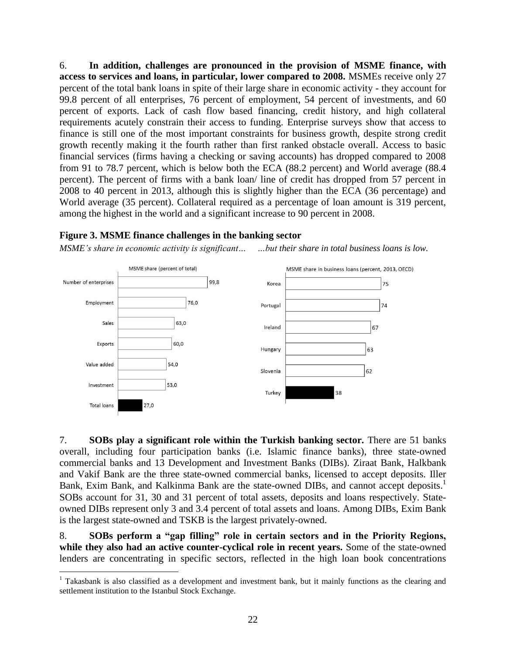6. **In addition, challenges are pronounced in the provision of MSME finance, with access to services and loans, in particular, lower compared to 2008.** MSMEs receive only 27 percent of the total bank loans in spite of their large share in economic activity - they account for 99.8 percent of all enterprises, 76 percent of employment, 54 percent of investments, and 60 percent of exports. Lack of cash flow based financing, credit history, and high collateral requirements acutely constrain their access to funding. Enterprise surveys show that access to finance is still one of the most important constraints for business growth, despite strong credit growth recently making it the fourth rather than first ranked obstacle overall. Access to basic financial services (firms having a checking or saving accounts) has dropped compared to 2008 from 91 to 78.7 percent, which is below both the ECA (88.2 percent) and World average (88.4 percent). The percent of firms with a bank loan/ line of credit has dropped from 57 percent in 2008 to 40 percent in 2013, although this is slightly higher than the ECA (36 percentage) and World average (35 percent). Collateral required as a percentage of loan amount is 319 percent, among the highest in the world and a significant increase to 90 percent in 2008.

#### **Figure 3. MSME finance challenges in the banking sector**

 $\overline{a}$ 

*MSME's share in economic activity is significant… …but their share in total business loans is low.*



7. **SOBs play a significant role within the Turkish banking sector.** There are 51 banks overall, including four participation banks (i.e. Islamic finance banks), three state-owned commercial banks and 13 Development and Investment Banks (DIBs). Ziraat Bank, Halkbank and Vakif Bank are the three state-owned commercial banks, licensed to accept deposits. Iller Bank, Exim Bank, and Kalkinma Bank are the state-owned DIBs, and cannot accept deposits.<sup>1</sup> SOBs account for 31, 30 and 31 percent of total assets, deposits and loans respectively. Stateowned DIBs represent only 3 and 3.4 percent of total assets and loans. Among DIBs, Exim Bank is the largest state-owned and TSKB is the largest privately-owned.

8. **SOBs perform a "gap filling" role in certain sectors and in the Priority Regions, while they also had an active counter-cyclical role in recent years.** Some of the state-owned lenders are concentrating in specific sectors, reflected in the high loan book concentrations

<sup>&</sup>lt;sup>1</sup> Takasbank is also classified as a development and investment bank, but it mainly functions as the clearing and settlement institution to the Istanbul Stock Exchange.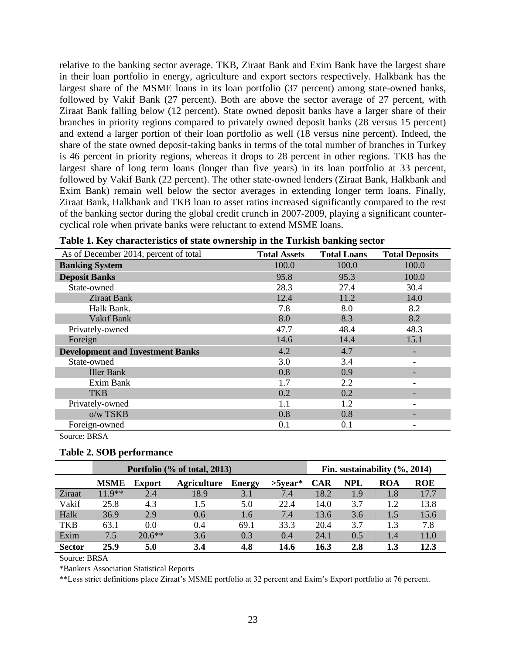relative to the banking sector average. TKB, Ziraat Bank and Exim Bank have the largest share in their loan portfolio in energy, agriculture and export sectors respectively. Halkbank has the largest share of the MSME loans in its loan portfolio (37 percent) among state-owned banks, followed by Vakif Bank (27 percent). Both are above the sector average of 27 percent, with Ziraat Bank falling below (12 percent). State owned deposit banks have a larger share of their branches in priority regions compared to privately owned deposit banks (28 versus 15 percent) and extend a larger portion of their loan portfolio as well (18 versus nine percent). Indeed, the share of the state owned deposit-taking banks in terms of the total number of branches in Turkey is 46 percent in priority regions, whereas it drops to 28 percent in other regions. TKB has the largest share of long term loans (longer than five years) in its loan portfolio at 33 percent, followed by Vakif Bank (22 percent). The other state-owned lenders (Ziraat Bank, Halkbank and Exim Bank) remain well below the sector averages in extending longer term loans. Finally, Ziraat Bank, Halkbank and TKB loan to asset ratios increased significantly compared to the rest of the banking sector during the global credit crunch in 2007-2009, playing a significant countercyclical role when private banks were reluctant to extend MSME loans.

| As of December 2014, percent of total   | <b>Total Assets</b> | <b>Total Loans</b> | <b>Total Deposits</b> |
|-----------------------------------------|---------------------|--------------------|-----------------------|
| <b>Banking System</b>                   | 100.0               | 100.0              | 100.0                 |
| <b>Deposit Banks</b>                    | 95.8                | 95.3               | 100.0                 |
| State-owned                             | 28.3                | 27.4               | 30.4                  |
| <b>Ziraat Bank</b>                      | 12.4                | 11.2               | 14.0                  |
| Halk Bank.                              | 7.8                 | 8.0                | 8.2                   |
| Vakıf Bank                              | 8.0                 | 8.3                | 8.2                   |
| Privately-owned                         | 47.7                | 48.4               | 48.3                  |
| Foreign                                 | 14.6                | 14.4               | 15.1                  |
| <b>Development and Investment Banks</b> | 4.2                 | 4.7                |                       |
| State-owned                             | 3.0                 | 3.4                |                       |
| <b>Iller Bank</b>                       | 0.8                 | 0.9                |                       |
| Exim Bank                               | 1.7                 | 2.2                |                       |
| <b>TKB</b>                              | 0.2                 | 0.2                |                       |
| Privately-owned                         | 1.1                 | 1.2                |                       |
| o/w TSKB                                | 0.8                 | 0.8                |                       |
| Foreign-owned                           | 0.1                 | 0.1                |                       |
| Source: BRSA                            |                     |                    |                       |

|  |  |  | Table 1. Key characteristics of state ownership in the Turkish banking sector |  |  |  |
|--|--|--|-------------------------------------------------------------------------------|--|--|--|
|--|--|--|-------------------------------------------------------------------------------|--|--|--|

#### **Table 2. SOB performance**

|               |             | Portfolio (% of total, 2013) |                    |               |            |            |            | Fin. sustainability $(\%$ , 2014) |      |
|---------------|-------------|------------------------------|--------------------|---------------|------------|------------|------------|-----------------------------------|------|
|               | <b>MSME</b> | <b>Export</b>                | <b>Agriculture</b> | <b>Energy</b> | $>5$ vear* | <b>CAR</b> | <b>NPL</b> | ROA                               | ROE  |
| Ziraat        | $11.9**$    | 2.4                          | 18.9               | 3.1           | 7.4        | 18.2       | 1.9        | 1.8                               | 17.7 |
| Vakif         | 25.8        | 4.3                          | 1.5                | 5.0           | 22.4       | 14.0       | 3.7        | 1.2                               | 13.8 |
| Halk          | 36.9        | 2.9                          | 0.6                | 1.6           | 7.4        | 13.6       | 3.6        | 1.5                               | 15.6 |
| TKB           | 63.1        | 0.0                          | 0.4                | 69.1          | 33.3       | 20.4       | 3.7        | 1.3                               | 7.8  |
| Exim          | 7.5         | $20.6**$                     | 3.6                | 0.3           | 0.4        | 24.1       | 0.5        | 1.4                               | 11.0 |
| <b>Sector</b> | 25.9        | 5.0                          | 3.4                | 4.8           | 14.6       | 16.3       | 2.8        | 1.3                               | 12.3 |

Source: BRSA

\*Bankers Association Statistical Reports

\*\*Less strict definitions place Ziraat's MSME portfolio at 32 percent and Exim's Export portfolio at 76 percent.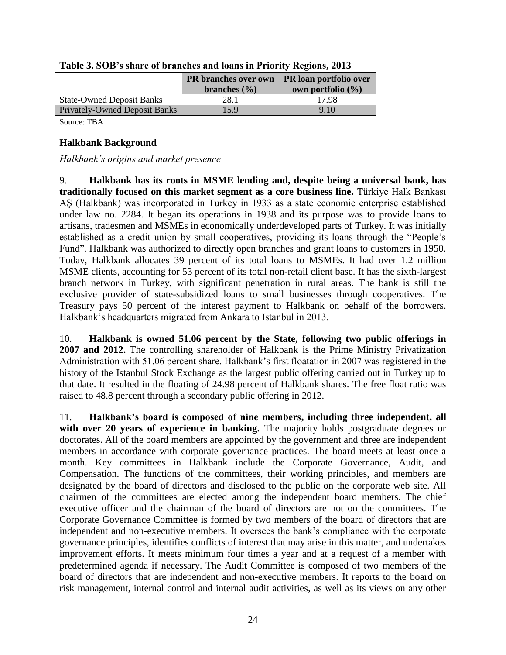|                                      | <b>PR</b> branches over own PR loan portfolio over<br>branches $(\% )$ | own portfolio $(\% )$ |
|--------------------------------------|------------------------------------------------------------------------|-----------------------|
| <b>State-Owned Deposit Banks</b>     | 28.1                                                                   | 17.98                 |
| <b>Privately-Owned Deposit Banks</b> | 159                                                                    | 9.10                  |
|                                      |                                                                        |                       |

| Table 3. SOB's share of branches and loans in Priority Regions, 2013 |  |  |  |  |  |
|----------------------------------------------------------------------|--|--|--|--|--|
|                                                                      |  |  |  |  |  |

Source: TBA

#### **Halkbank Background**

#### *Halkbank's origins and market presence*

9. **Halkbank has its roots in MSME lending and, despite being a universal bank, has traditionally focused on this market segment as a core business line.** Türkiye Halk Bankası AŞ (Halkbank) was incorporated in Turkey in 1933 as a state economic enterprise established under law no. 2284. It began its operations in 1938 and its purpose was to provide loans to artisans, tradesmen and MSMEs in economically underdeveloped parts of Turkey. It was initially established as a credit union by small cooperatives, providing its loans through the "People's Fund". Halkbank was authorized to directly open branches and grant loans to customers in 1950. Today, Halkbank allocates 39 percent of its total loans to MSMEs. It had over 1.2 million MSME clients, accounting for 53 percent of its total non-retail client base. It has the sixth-largest branch network in Turkey, with significant penetration in rural areas. The bank is still the exclusive provider of state-subsidized loans to small businesses through cooperatives. The Treasury pays 50 percent of the interest payment to Halkbank on behalf of the borrowers. Halkbank's headquarters migrated from Ankara to Istanbul in 2013.

10. **Halkbank is owned 51.06 percent by the State, following two public offerings in 2007 and 2012.** The controlling shareholder of Halkbank is the Prime Ministry Privatization Administration with 51.06 percent share. Halkbank's first floatation in 2007 was registered in the history of the Istanbul Stock Exchange as the largest public offering carried out in Turkey up to that date. It resulted in the floating of 24.98 percent of Halkbank shares. The free float ratio was raised to 48.8 percent through a secondary public offering in 2012.

11. **Halkbank's board is composed of nine members, including three independent, all with over 20 years of experience in banking.** The majority holds postgraduate degrees or doctorates. All of the board members are appointed by the government and three are independent members in accordance with corporate governance practices. The board meets at least once a month. Key committees in Halkbank include the Corporate Governance, Audit, and Compensation. The functions of the committees, their working principles, and members are designated by the board of directors and disclosed to the public on the corporate web site. All chairmen of the committees are elected among the independent board members. The chief executive officer and the chairman of the board of directors are not on the committees. The Corporate Governance Committee is formed by two members of the board of directors that are independent and non-executive members. It oversees the bank's compliance with the corporate governance principles, identifies conflicts of interest that may arise in this matter, and undertakes improvement efforts. It meets minimum four times a year and at a request of a member with predetermined agenda if necessary. The Audit Committee is composed of two members of the board of directors that are independent and non-executive members. It reports to the board on risk management, internal control and internal audit activities, as well as its views on any other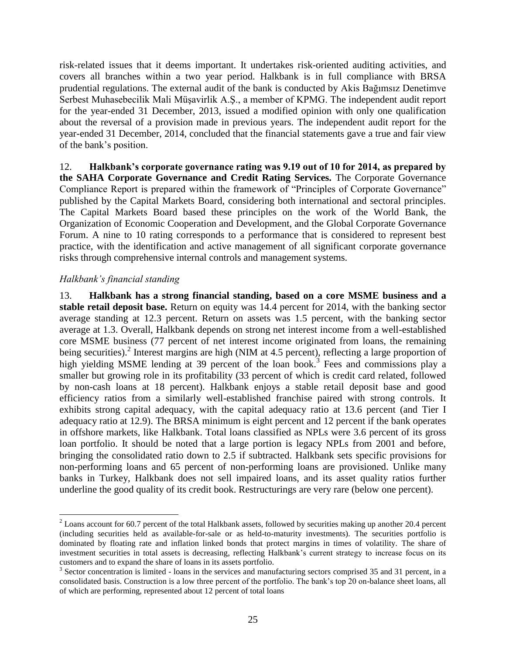risk-related issues that it deems important. It undertakes risk-oriented auditing activities, and covers all branches within a two year period. Halkbank is in full compliance with BRSA prudential regulations. The external audit of the bank is conducted by Akis Bağımsız Denetimve Serbest Muhasebecilik Mali Müşavirlik A.Ş., a member of KPMG. The independent audit report for the year-ended 31 December, 2013, issued a modified opinion with only one qualification about the reversal of a provision made in previous years. The independent audit report for the year-ended 31 December, 2014, concluded that the financial statements gave a true and fair view of the bank's position.

12. **Halkbank's corporate governance rating was 9.19 out of 10 for 2014, as prepared by the SAHA Corporate Governance and Credit Rating Services.** The Corporate Governance Compliance Report is prepared within the framework of "Principles of Corporate Governance" published by the Capital Markets Board, considering both international and sectoral principles. The Capital Markets Board based these principles on the work of the World Bank, the Organization of Economic Cooperation and Development, and the Global Corporate Governance Forum. A nine to 10 rating corresponds to a performance that is considered to represent best practice, with the identification and active management of all significant corporate governance risks through comprehensive internal controls and management systems.

#### *Halkbank's financial standing*

 $\overline{a}$ 

13. **Halkbank has a strong financial standing, based on a core MSME business and a stable retail deposit base.** Return on equity was 14.4 percent for 2014, with the banking sector average standing at 12.3 percent. Return on assets was 1.5 percent, with the banking sector average at 1.3. Overall, Halkbank depends on strong net interest income from a well-established core MSME business (77 percent of net interest income originated from loans, the remaining being securities).<sup>2</sup> Interest margins are high (NIM at 4.5 percent), reflecting a large proportion of high yielding MSME lending at 39 percent of the loan book.<sup>3</sup> Fees and commissions play a smaller but growing role in its profitability (33 percent of which is credit card related, followed by non-cash loans at 18 percent). Halkbank enjoys a stable retail deposit base and good efficiency ratios from a similarly well-established franchise paired with strong controls. It exhibits strong capital adequacy, with the capital adequacy ratio at 13.6 percent (and Tier I adequacy ratio at 12.9). The BRSA minimum is eight percent and 12 percent if the bank operates in offshore markets, like Halkbank. Total loans classified as NPLs were 3.6 percent of its gross loan portfolio. It should be noted that a large portion is legacy NPLs from 2001 and before, bringing the consolidated ratio down to 2.5 if subtracted. Halkbank sets specific provisions for non-performing loans and 65 percent of non-performing loans are provisioned. Unlike many banks in Turkey, Halkbank does not sell impaired loans, and its asset quality ratios further underline the good quality of its credit book. Restructurings are very rare (below one percent).

 $2$  Loans account for 60.7 percent of the total Halkbank assets, followed by securities making up another 20.4 percent (including securities held as available-for-sale or as held-to-maturity investments). The securities portfolio is dominated by floating rate and inflation linked bonds that protect margins in times of volatility. The share of investment securities in total assets is decreasing, reflecting Halkbank's current strategy to increase focus on its customers and to expand the share of loans in its assets portfolio.

 $3$  Sector concentration is limited - loans in the services and manufacturing sectors comprised 35 and 31 percent, in a consolidated basis. Construction is a low three percent of the portfolio. The bank's top 20 on-balance sheet loans, all of which are performing, represented about 12 percent of total loans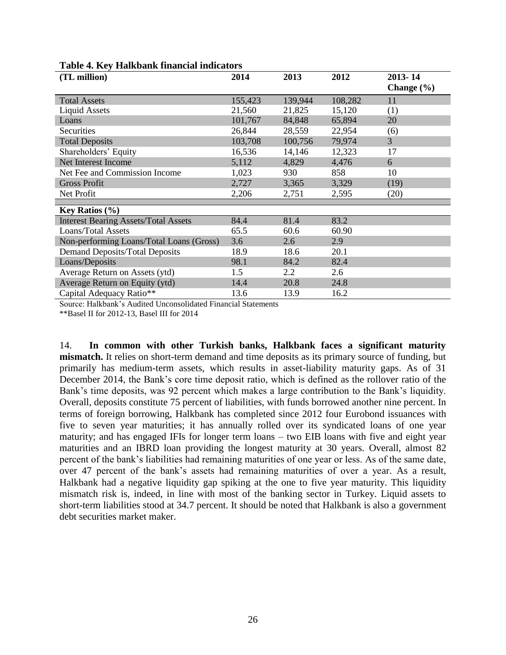| (TL million)                                | 2014    | 2013    | 2012    | 2013-14<br>Change $(\% )$ |
|---------------------------------------------|---------|---------|---------|---------------------------|
| <b>Total Assets</b>                         | 155,423 | 139,944 | 108,282 | 11                        |
| <b>Liquid Assets</b>                        | 21,560  | 21,825  | 15,120  | (1)                       |
| Loans                                       | 101,767 | 84,848  | 65,894  | 20                        |
| Securities                                  | 26,844  | 28,559  | 22,954  | (6)                       |
| <b>Total Deposits</b>                       | 103,708 | 100,756 | 79,974  | $\overline{3}$            |
| Shareholders' Equity                        | 16,536  | 14,146  | 12,323  | 17                        |
| Net Interest Income                         | 5,112   | 4,829   | 4,476   | 6                         |
| Net Fee and Commission Income               | 1,023   | 930     | 858     | 10                        |
| <b>Gross Profit</b>                         | 2,727   | 3,365   | 3,329   | (19)                      |
| Net Profit                                  | 2,206   | 2,751   | 2,595   | (20)                      |
|                                             |         |         |         |                           |
| <b>Key Ratios</b> $(\% )$                   |         |         |         |                           |
| <b>Interest Bearing Assets/Total Assets</b> | 84.4    | 81.4    | 83.2    |                           |
| <b>Loans/Total Assets</b>                   | 65.5    | 60.6    | 60.90   |                           |
| Non-performing Loans/Total Loans (Gross)    | 3.6     | 2.6     | 2.9     |                           |
| <b>Demand Deposits/Total Deposits</b>       | 18.9    | 18.6    | 20.1    |                           |
| Loans/Deposits                              | 98.1    | 84.2    | 82.4    |                           |
| Average Return on Assets (ytd)              | 1.5     | 2.2     | 2.6     |                           |
| Average Return on Equity (ytd)              | 14.4    | 20.8    | 24.8    |                           |
| Capital Adequacy Ratio**                    | 13.6    | 13.9    | 16.2    |                           |

#### **Table 4. Key Halkbank financial indicators**

Source: Halkbank's Audited Unconsolidated Financial Statements

\*\*Basel II for 2012-13, Basel III for 2014

14. **In common with other Turkish banks, Halkbank faces a significant maturity mismatch.** It relies on short-term demand and time deposits as its primary source of funding, but primarily has medium-term assets, which results in asset-liability maturity gaps. As of 31 December 2014, the Bank's core time deposit ratio, which is defined as the rollover ratio of the Bank's time deposits, was 92 percent which makes a large contribution to the Bank's liquidity. Overall, deposits constitute 75 percent of liabilities, with funds borrowed another nine percent. In terms of foreign borrowing, Halkbank has completed since 2012 four Eurobond issuances with five to seven year maturities; it has annually rolled over its syndicated loans of one year maturity; and has engaged IFIs for longer term loans – two EIB loans with five and eight year maturities and an IBRD loan providing the longest maturity at 30 years. Overall, almost 82 percent of the bank's liabilities had remaining maturities of one year or less. As of the same date, over 47 percent of the bank's assets had remaining maturities of over a year. As a result, Halkbank had a negative liquidity gap spiking at the one to five year maturity. This liquidity mismatch risk is, indeed, in line with most of the banking sector in Turkey. Liquid assets to short-term liabilities stood at 34.7 percent. It should be noted that Halkbank is also a government debt securities market maker.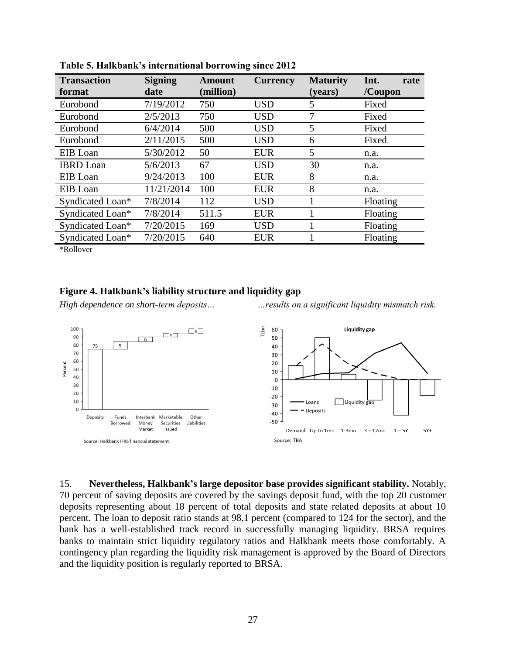| <b>Transaction</b><br>format | <b>Signing</b><br>date | <b>Amount</b><br>(million) | <b>Currency</b> | <b>Maturity</b><br>(years) | Int.<br>rate<br>/Coupon |
|------------------------------|------------------------|----------------------------|-----------------|----------------------------|-------------------------|
| Eurobond                     | 7/19/2012              | 750                        | <b>USD</b>      | 5                          | Fixed                   |
| Eurobond                     | 2/5/2013               | 750                        | <b>USD</b>      | 7                          | Fixed                   |
| Eurobond                     | 6/4/2014               | 500                        | <b>USD</b>      | 5                          | Fixed                   |
| Eurobond                     | 2/11/2015              | 500                        | <b>USD</b>      | 6                          | Fixed                   |
| EIB Loan                     | 5/30/2012              | 50                         | <b>EUR</b>      | 5                          | n.a.                    |
| <b>IBRD</b> Loan             | 5/6/2013               | 67                         | <b>USD</b>      | 30                         | n.a.                    |
| EIB Loan                     | 9/24/2013              | 100                        | <b>EUR</b>      | 8                          | n.a.                    |
| EIB Loan                     | 11/21/2014             | 100                        | <b>EUR</b>      | 8                          | n.a.                    |
| Syndicated Loan*             | 7/8/2014               | 112                        | <b>USD</b>      |                            | Floating                |
| Syndicated Loan*             | 7/8/2014               | 511.5                      | <b>EUR</b>      |                            | Floating                |
| Syndicated Loan*             | 7/20/2015              | 169                        | <b>USD</b>      |                            | Floating                |
| Syndicated Loan*             | 7/20/2015              | 640                        | <b>EUR</b>      |                            | Floating                |

**Table 5. Halkbank's international borrowing since 2012**

\*Rollover

#### **Figure 4. Halkbank's liability structure and liquidity gap**

*High dependence on short-term deposits… …results on a significant liquidity mismatch risk.*



15. **Nevertheless, Halkbank's large depositor base provides significant stability.** Notably, 70 percent of saving deposits are covered by the savings deposit fund, with the top 20 customer deposits representing about 18 percent of total deposits and state related deposits at about 10 percent. The loan to deposit ratio stands at 98.1 percent (compared to 124 for the sector), and the bank has a well-established track record in successfully managing liquidity. BRSA requires banks to maintain strict liquidity regulatory ratios and Halkbank meets those comfortably. A contingency plan regarding the liquidity risk management is approved by the Board of Directors and the liquidity position is regularly reported to BRSA.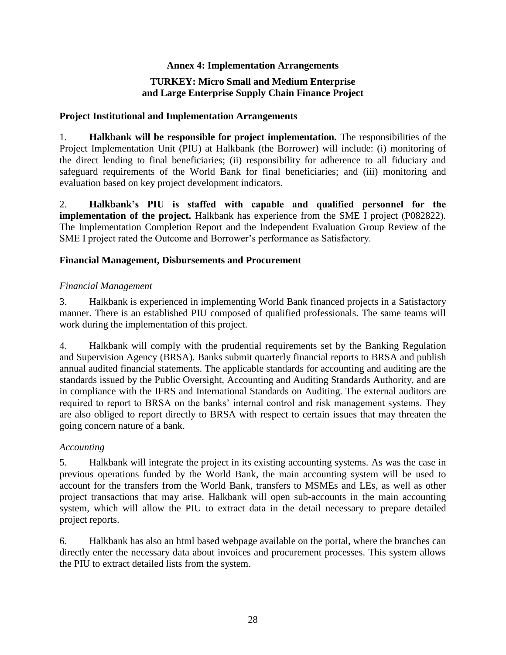#### **Annex 4: Implementation Arrangements**

## **TURKEY: Micro Small and Medium Enterprise and Large Enterprise Supply Chain Finance Project**

#### **Project Institutional and Implementation Arrangements**

1. **Halkbank will be responsible for project implementation.** The responsibilities of the Project Implementation Unit (PIU) at Halkbank (the Borrower) will include: (i) monitoring of the direct lending to final beneficiaries; (ii) responsibility for adherence to all fiduciary and safeguard requirements of the World Bank for final beneficiaries; and (iii) monitoring and evaluation based on key project development indicators.

2. **Halkbank's PIU is staffed with capable and qualified personnel for the implementation of the project.** Halkbank has experience from the SME I project (P082822). The Implementation Completion Report and the Independent Evaluation Group Review of the SME I project rated the Outcome and Borrower's performance as Satisfactory.

#### **Financial Management, Disbursements and Procurement**

#### *Financial Management*

3. Halkbank is experienced in implementing World Bank financed projects in a Satisfactory manner. There is an established PIU composed of qualified professionals. The same teams will work during the implementation of this project.

4. Halkbank will comply with the prudential requirements set by the Banking Regulation and Supervision Agency (BRSA). Banks submit quarterly financial reports to BRSA and publish annual audited financial statements. The applicable standards for accounting and auditing are the standards issued by the Public Oversight, Accounting and Auditing Standards Authority, and are in compliance with the IFRS and International Standards on Auditing. The external auditors are required to report to BRSA on the banks' internal control and risk management systems. They are also obliged to report directly to BRSA with respect to certain issues that may threaten the going concern nature of a bank.

#### *Accounting*

5. Halkbank will integrate the project in its existing accounting systems. As was the case in previous operations funded by the World Bank, the main accounting system will be used to account for the transfers from the World Bank, transfers to MSMEs and LEs, as well as other project transactions that may arise. Halkbank will open sub-accounts in the main accounting system, which will allow the PIU to extract data in the detail necessary to prepare detailed project reports.

6. Halkbank has also an html based webpage available on the portal, where the branches can directly enter the necessary data about invoices and procurement processes. This system allows the PIU to extract detailed lists from the system.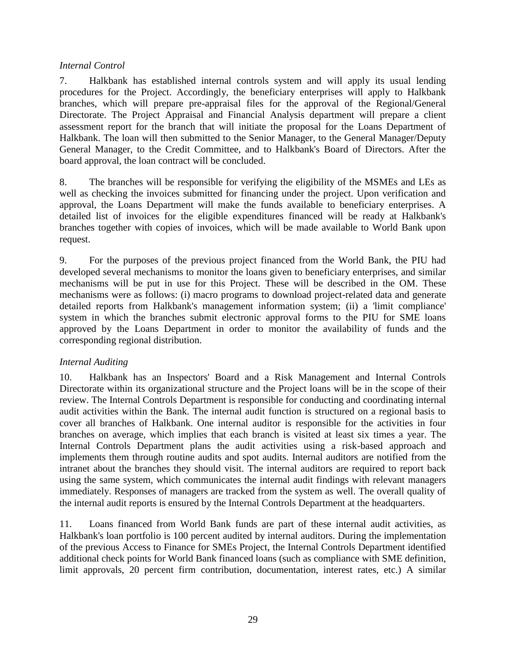#### *Internal Control*

7. Halkbank has established internal controls system and will apply its usual lending procedures for the Project. Accordingly, the beneficiary enterprises will apply to Halkbank branches, which will prepare pre-appraisal files for the approval of the Regional/General Directorate. The Project Appraisal and Financial Analysis department will prepare a client assessment report for the branch that will initiate the proposal for the Loans Department of Halkbank. The loan will then submitted to the Senior Manager, to the General Manager/Deputy General Manager, to the Credit Committee, and to Halkbank's Board of Directors. After the board approval, the loan contract will be concluded.

8. The branches will be responsible for verifying the eligibility of the MSMEs and LEs as well as checking the invoices submitted for financing under the project. Upon verification and approval, the Loans Department will make the funds available to beneficiary enterprises. A detailed list of invoices for the eligible expenditures financed will be ready at Halkbank's branches together with copies of invoices, which will be made available to World Bank upon request.

9. For the purposes of the previous project financed from the World Bank, the PIU had developed several mechanisms to monitor the loans given to beneficiary enterprises, and similar mechanisms will be put in use for this Project. These will be described in the OM. These mechanisms were as follows: (i) macro programs to download project-related data and generate detailed reports from Halkbank's management information system; (ii) a 'limit compliance' system in which the branches submit electronic approval forms to the PIU for SME loans approved by the Loans Department in order to monitor the availability of funds and the corresponding regional distribution.

## *Internal Auditing*

10. Halkbank has an Inspectors' Board and a Risk Management and Internal Controls Directorate within its organizational structure and the Project loans will be in the scope of their review. The Internal Controls Department is responsible for conducting and coordinating internal audit activities within the Bank. The internal audit function is structured on a regional basis to cover all branches of Halkbank. One internal auditor is responsible for the activities in four branches on average, which implies that each branch is visited at least six times a year. The Internal Controls Department plans the audit activities using a risk-based approach and implements them through routine audits and spot audits. Internal auditors are notified from the intranet about the branches they should visit. The internal auditors are required to report back using the same system, which communicates the internal audit findings with relevant managers immediately. Responses of managers are tracked from the system as well. The overall quality of the internal audit reports is ensured by the Internal Controls Department at the headquarters.

11. Loans financed from World Bank funds are part of these internal audit activities, as Halkbank's loan portfolio is 100 percent audited by internal auditors. During the implementation of the previous Access to Finance for SMEs Project, the Internal Controls Department identified additional check points for World Bank financed loans (such as compliance with SME definition, limit approvals, 20 percent firm contribution, documentation, interest rates, etc.) A similar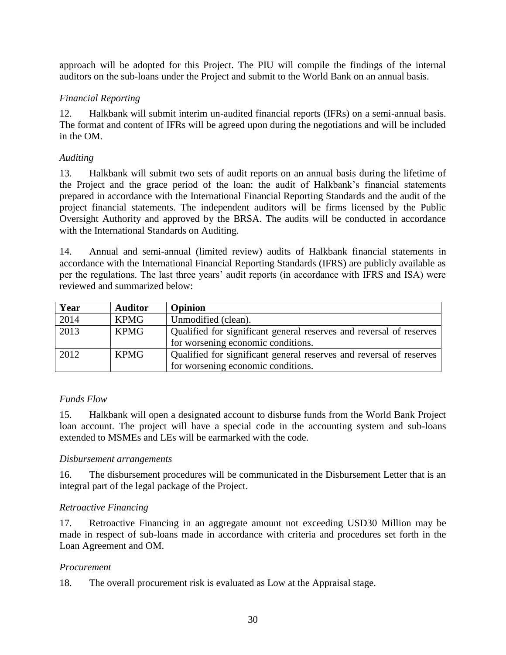approach will be adopted for this Project. The PIU will compile the findings of the internal auditors on the sub-loans under the Project and submit to the World Bank on an annual basis.

# *Financial Reporting*

12. Halkbank will submit interim un-audited financial reports (IFRs) on a semi-annual basis. The format and content of IFRs will be agreed upon during the negotiations and will be included in the OM.

# *Auditing*

13. Halkbank will submit two sets of audit reports on an annual basis during the lifetime of the Project and the grace period of the loan: the audit of Halkbank's financial statements prepared in accordance with the International Financial Reporting Standards and the audit of the project financial statements. The independent auditors will be firms licensed by the Public Oversight Authority and approved by the BRSA. The audits will be conducted in accordance with the International Standards on Auditing.

14. Annual and semi-annual (limited review) audits of Halkbank financial statements in accordance with the International Financial Reporting Standards (IFRS) are publicly available as per the regulations. The last three years' audit reports (in accordance with IFRS and ISA) were reviewed and summarized below:

| Year | <b>Auditor</b> | <b>Opinion</b>                                                      |
|------|----------------|---------------------------------------------------------------------|
| 2014 | <b>KPMG</b>    | Unmodified (clean).                                                 |
| 2013 | <b>KPMG</b>    | Qualified for significant general reserves and reversal of reserves |
|      |                | for worsening economic conditions.                                  |
| 2012 | <b>KPMG</b>    | Qualified for significant general reserves and reversal of reserves |
|      |                | for worsening economic conditions.                                  |

# *Funds Flow*

15. Halkbank will open a designated account to disburse funds from the World Bank Project loan account. The project will have a special code in the accounting system and sub-loans extended to MSMEs and LEs will be earmarked with the code.

# *Disbursement arrangements*

16. The disbursement procedures will be communicated in the Disbursement Letter that is an integral part of the legal package of the Project.

# *Retroactive Financing*

17. Retroactive Financing in an aggregate amount not exceeding USD30 Million may be made in respect of sub-loans made in accordance with criteria and procedures set forth in the Loan Agreement and OM.

## *Procurement*

18. The overall procurement risk is evaluated as Low at the Appraisal stage.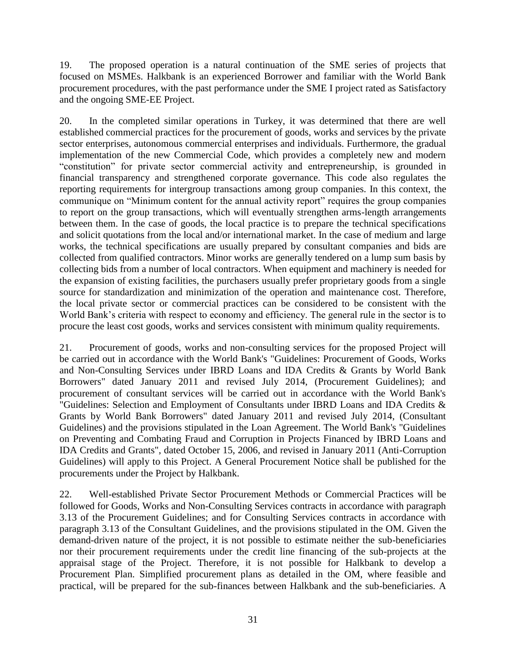19. The proposed operation is a natural continuation of the SME series of projects that focused on MSMEs. Halkbank is an experienced Borrower and familiar with the World Bank procurement procedures, with the past performance under the SME I project rated as Satisfactory and the ongoing SME-EE Project.

20. In the completed similar operations in Turkey, it was determined that there are well established commercial practices for the procurement of goods, works and services by the private sector enterprises, autonomous commercial enterprises and individuals. Furthermore, the gradual implementation of the new Commercial Code, which provides a completely new and modern "constitution" for private sector commercial activity and entrepreneurship, is grounded in financial transparency and strengthened corporate governance. This code also regulates the reporting requirements for intergroup transactions among group companies. In this context, the communique on "Minimum content for the annual activity report" requires the group companies to report on the group transactions, which will eventually strengthen arms-length arrangements between them. In the case of goods, the local practice is to prepare the technical specifications and solicit quotations from the local and/or international market. In the case of medium and large works, the technical specifications are usually prepared by consultant companies and bids are collected from qualified contractors. Minor works are generally tendered on a lump sum basis by collecting bids from a number of local contractors. When equipment and machinery is needed for the expansion of existing facilities, the purchasers usually prefer proprietary goods from a single source for standardization and minimization of the operation and maintenance cost. Therefore, the local private sector or commercial practices can be considered to be consistent with the World Bank's criteria with respect to economy and efficiency. The general rule in the sector is to procure the least cost goods, works and services consistent with minimum quality requirements.

21. Procurement of goods, works and non-consulting services for the proposed Project will be carried out in accordance with the World Bank's "Guidelines: Procurement of Goods, Works and Non-Consulting Services under IBRD Loans and IDA Credits & Grants by World Bank Borrowers" dated January 2011 and revised July 2014, (Procurement Guidelines); and procurement of consultant services will be carried out in accordance with the World Bank's "Guidelines: Selection and Employment of Consultants under IBRD Loans and IDA Credits & Grants by World Bank Borrowers" dated January 2011 and revised July 2014, (Consultant Guidelines) and the provisions stipulated in the Loan Agreement. The World Bank's "Guidelines on Preventing and Combating Fraud and Corruption in Projects Financed by IBRD Loans and IDA Credits and Grants", dated October 15, 2006, and revised in January 2011 (Anti-Corruption Guidelines) will apply to this Project. A General Procurement Notice shall be published for the procurements under the Project by Halkbank.

22. Well-established Private Sector Procurement Methods or Commercial Practices will be followed for Goods, Works and Non-Consulting Services contracts in accordance with paragraph 3.13 of the Procurement Guidelines; and for Consulting Services contracts in accordance with paragraph 3.13 of the Consultant Guidelines, and the provisions stipulated in the OM. Given the demand-driven nature of the project, it is not possible to estimate neither the sub-beneficiaries nor their procurement requirements under the credit line financing of the sub-projects at the appraisal stage of the Project. Therefore, it is not possible for Halkbank to develop a Procurement Plan. Simplified procurement plans as detailed in the OM, where feasible and practical, will be prepared for the sub-finances between Halkbank and the sub-beneficiaries. A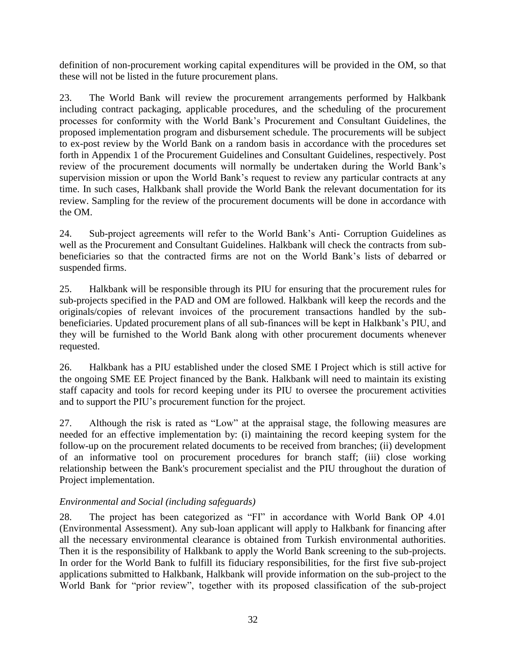definition of non-procurement working capital expenditures will be provided in the OM, so that these will not be listed in the future procurement plans.

23. The World Bank will review the procurement arrangements performed by Halkbank including contract packaging, applicable procedures, and the scheduling of the procurement processes for conformity with the World Bank's Procurement and Consultant Guidelines, the proposed implementation program and disbursement schedule. The procurements will be subject to ex-post review by the World Bank on a random basis in accordance with the procedures set forth in Appendix 1 of the Procurement Guidelines and Consultant Guidelines, respectively. Post review of the procurement documents will normally be undertaken during the World Bank's supervision mission or upon the World Bank's request to review any particular contracts at any time. In such cases, Halkbank shall provide the World Bank the relevant documentation for its review. Sampling for the review of the procurement documents will be done in accordance with the OM.

24. Sub-project agreements will refer to the World Bank's Anti- Corruption Guidelines as well as the Procurement and Consultant Guidelines. Halkbank will check the contracts from subbeneficiaries so that the contracted firms are not on the World Bank's lists of debarred or suspended firms.

25. Halkbank will be responsible through its PIU for ensuring that the procurement rules for sub-projects specified in the PAD and OM are followed. Halkbank will keep the records and the originals/copies of relevant invoices of the procurement transactions handled by the subbeneficiaries. Updated procurement plans of all sub-finances will be kept in Halkbank's PIU, and they will be furnished to the World Bank along with other procurement documents whenever requested.

26. Halkbank has a PIU established under the closed SME I Project which is still active for the ongoing SME EE Project financed by the Bank. Halkbank will need to maintain its existing staff capacity and tools for record keeping under its PIU to oversee the procurement activities and to support the PIU's procurement function for the project.

27. Although the risk is rated as "Low" at the appraisal stage, the following measures are needed for an effective implementation by: (i) maintaining the record keeping system for the follow-up on the procurement related documents to be received from branches; (ii) development of an informative tool on procurement procedures for branch staff; (iii) close working relationship between the Bank's procurement specialist and the PIU throughout the duration of Project implementation.

## *Environmental and Social (including safeguards)*

28. The project has been categorized as "FI" in accordance with World Bank OP 4.01 (Environmental Assessment). Any sub-loan applicant will apply to Halkbank for financing after all the necessary environmental clearance is obtained from Turkish environmental authorities. Then it is the responsibility of Halkbank to apply the World Bank screening to the sub-projects. In order for the World Bank to fulfill its fiduciary responsibilities, for the first five sub-project applications submitted to Halkbank, Halkbank will provide information on the sub-project to the World Bank for "prior review", together with its proposed classification of the sub-project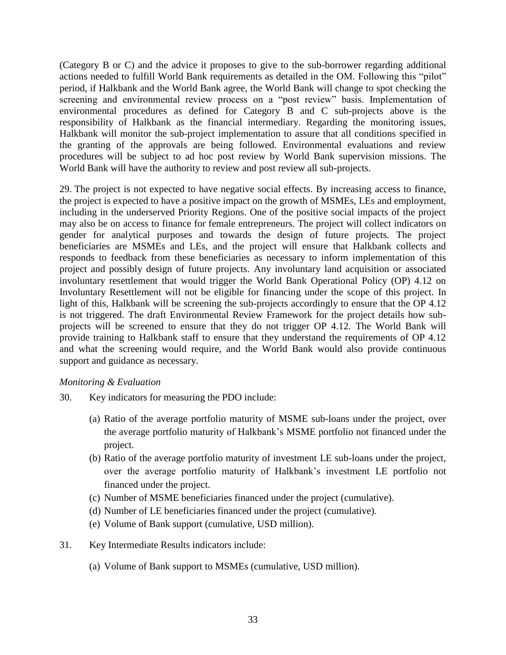(Category B or C) and the advice it proposes to give to the sub-borrower regarding additional actions needed to fulfill World Bank requirements as detailed in the OM. Following this "pilot" period, if Halkbank and the World Bank agree, the World Bank will change to spot checking the screening and environmental review process on a "post review" basis. Implementation of environmental procedures as defined for Category B and C sub-projects above is the responsibility of Halkbank as the financial intermediary. Regarding the monitoring issues, Halkbank will monitor the sub-project implementation to assure that all conditions specified in the granting of the approvals are being followed. Environmental evaluations and review procedures will be subject to ad hoc post review by World Bank supervision missions. The World Bank will have the authority to review and post review all sub-projects.

29. The project is not expected to have negative social effects. By increasing access to finance, the project is expected to have a positive impact on the growth of MSMEs, LEs and employment, including in the underserved Priority Regions. One of the positive social impacts of the project may also be on access to finance for female entrepreneurs. The project will collect indicators on gender for analytical purposes and towards the design of future projects. The project beneficiaries are MSMEs and LEs, and the project will ensure that Halkbank collects and responds to feedback from these beneficiaries as necessary to inform implementation of this project and possibly design of future projects. Any involuntary land acquisition or associated involuntary resettlement that would trigger the World Bank Operational Policy (OP) 4.12 on Involuntary Resettlement will not be eligible for financing under the scope of this project. In light of this, Halkbank will be screening the sub-projects accordingly to ensure that the OP 4.12 is not triggered. The draft Environmental Review Framework for the project details how subprojects will be screened to ensure that they do not trigger OP 4.12. The World Bank will provide training to Halkbank staff to ensure that they understand the requirements of OP 4.12 and what the screening would require, and the World Bank would also provide continuous support and guidance as necessary.

#### *Monitoring & Evaluation*

- 30. Key indicators for measuring the PDO include:
	- (a) Ratio of the average portfolio maturity of MSME sub-loans under the project, over the average portfolio maturity of Halkbank's MSME portfolio not financed under the project.
	- (b) Ratio of the average portfolio maturity of investment LE sub-loans under the project, over the average portfolio maturity of Halkbank's investment LE portfolio not financed under the project.
	- (c) Number of MSME beneficiaries financed under the project (cumulative).
	- (d) Number of LE beneficiaries financed under the project (cumulative).
	- (e) Volume of Bank support (cumulative, USD million).
- 31. Key Intermediate Results indicators include:
	- (a) Volume of Bank support to MSMEs (cumulative, USD million).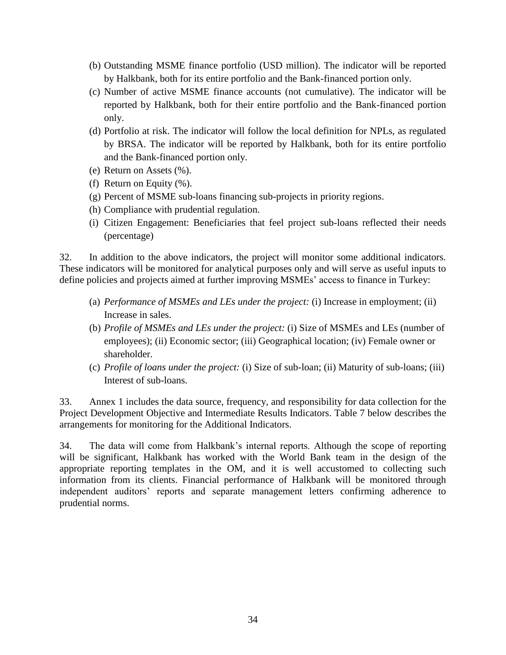- (b) Outstanding MSME finance portfolio (USD million). The indicator will be reported by Halkbank, both for its entire portfolio and the Bank-financed portion only.
- (c) Number of active MSME finance accounts (not cumulative). The indicator will be reported by Halkbank, both for their entire portfolio and the Bank-financed portion only.
- (d) Portfolio at risk. The indicator will follow the local definition for NPLs, as regulated by BRSA. The indicator will be reported by Halkbank, both for its entire portfolio and the Bank-financed portion only.
- (e) Return on Assets (%).
- (f) Return on Equity (%).
- (g) Percent of MSME sub-loans financing sub-projects in priority regions.
- (h) Compliance with prudential regulation.
- (i) Citizen Engagement: Beneficiaries that feel project sub-loans reflected their needs (percentage)

32. In addition to the above indicators, the project will monitor some additional indicators. These indicators will be monitored for analytical purposes only and will serve as useful inputs to define policies and projects aimed at further improving MSMEs' access to finance in Turkey:

- (a) *Performance of MSMEs and LEs under the project:* (i) Increase in employment; (ii) Increase in sales.
- (b) *Profile of MSMEs and LEs under the project:* (i) Size of MSMEs and LEs (number of employees); (ii) Economic sector; (iii) Geographical location; (iv) Female owner or shareholder.
- (c) *Profile of loans under the project:* (i) Size of sub-loan; (ii) Maturity of sub-loans; (iii) Interest of sub-loans.

33. Annex 1 includes the data source, frequency, and responsibility for data collection for the Project Development Objective and Intermediate Results Indicators. Table 7 below describes the arrangements for monitoring for the Additional Indicators.

34. The data will come from Halkbank's internal reports. Although the scope of reporting will be significant, Halkbank has worked with the World Bank team in the design of the appropriate reporting templates in the OM, and it is well accustomed to collecting such information from its clients. Financial performance of Halkbank will be monitored through independent auditors' reports and separate management letters confirming adherence to prudential norms.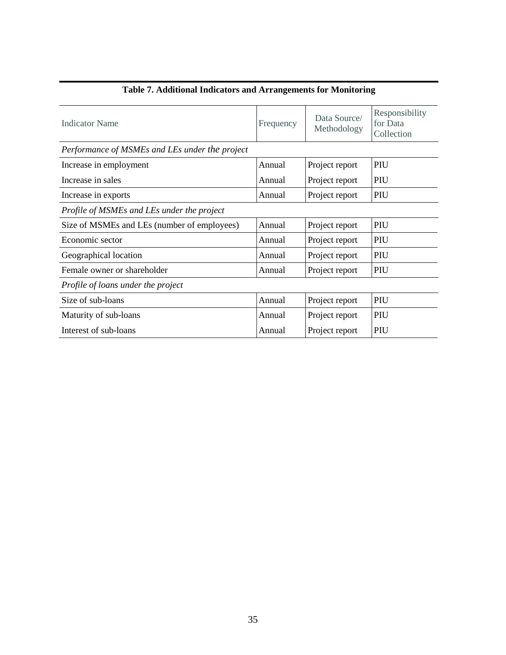| <b>Indicator Name</b>                          | Frequency | Data Source/<br>Methodology | Responsibility<br>for Data<br>Collection |  |  |  |
|------------------------------------------------|-----------|-----------------------------|------------------------------------------|--|--|--|
| Performance of MSMEs and LEs under the project |           |                             |                                          |  |  |  |
| Increase in employment                         | Annual    | Project report              | PIU                                      |  |  |  |
| Increase in sales                              | Annual    | Project report              | PIU                                      |  |  |  |
| Increase in exports                            | Annual    | Project report              | PIU                                      |  |  |  |
| Profile of MSMEs and LEs under the project     |           |                             |                                          |  |  |  |
| Size of MSMEs and LEs (number of employees)    | Annual    | Project report              | PIU                                      |  |  |  |
| Economic sector                                | Annual    | Project report              | PIU                                      |  |  |  |
| Geographical location                          | Annual    | Project report              | PIU                                      |  |  |  |
| Female owner or shareholder                    | Annual    | Project report              | PIU                                      |  |  |  |
| Profile of loans under the project             |           |                             |                                          |  |  |  |
| Size of sub-loans                              | Annual    | Project report              | PIU                                      |  |  |  |
| Maturity of sub-loans                          | Annual    | Project report              | PIU                                      |  |  |  |
| Interest of sub-loans                          | Annual    | Project report              | PIU                                      |  |  |  |

# **Table 7. Additional Indicators and Arrangements for Monitoring**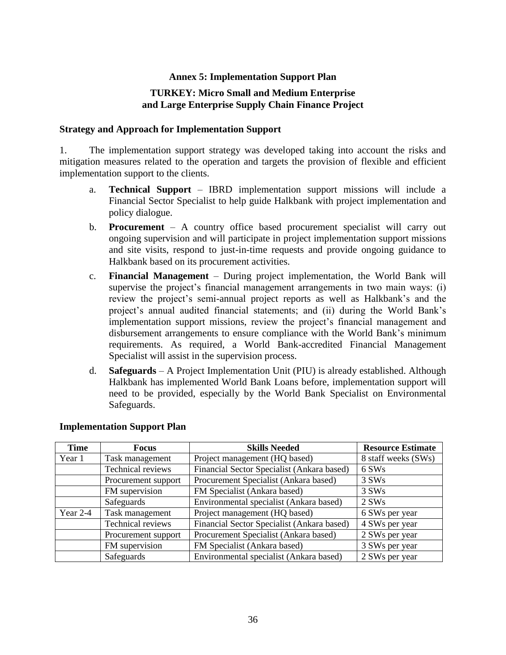#### **Annex 5: Implementation Support Plan**

#### **TURKEY: Micro Small and Medium Enterprise and Large Enterprise Supply Chain Finance Project**

#### **Strategy and Approach for Implementation Support**

1. The implementation support strategy was developed taking into account the risks and mitigation measures related to the operation and targets the provision of flexible and efficient implementation support to the clients.

- a. **Technical Support** IBRD implementation support missions will include a Financial Sector Specialist to help guide Halkbank with project implementation and policy dialogue.
- b. **Procurement** A country office based procurement specialist will carry out ongoing supervision and will participate in project implementation support missions and site visits, respond to just-in-time requests and provide ongoing guidance to Halkbank based on its procurement activities.
- c. **Financial Management** During project implementation, the World Bank will supervise the project's financial management arrangements in two main ways: (i) review the project's semi-annual project reports as well as Halkbank's and the project's annual audited financial statements; and (ii) during the World Bank's implementation support missions, review the project's financial management and disbursement arrangements to ensure compliance with the World Bank's minimum requirements. As required, a World Bank-accredited Financial Management Specialist will assist in the supervision process.
- d. **Safeguards** A Project Implementation Unit (PIU) is already established. Although Halkbank has implemented World Bank Loans before, implementation support will need to be provided, especially by the World Bank Specialist on Environmental Safeguards.

| <b>Time</b> | <b>Focus</b>        | <b>Skills Needed</b>                       | <b>Resource Estimate</b> |
|-------------|---------------------|--------------------------------------------|--------------------------|
| Year 1      | Task management     | Project management (HQ based)              | 8 staff weeks (SWs)      |
|             | Technical reviews   | Financial Sector Specialist (Ankara based) | 6 SW <sub>s</sub>        |
|             | Procurement support | Procurement Specialist (Ankara based)      | 3 SW <sub>s</sub>        |
|             | FM supervision      | FM Specialist (Ankara based)               | 3 SW <sub>s</sub>        |
|             | Safeguards          | Environmental specialist (Ankara based)    | $2$ SWs                  |
| Year 2-4    | Task management     | Project management (HQ based)              | 6 SWs per year           |
|             | Technical reviews   | Financial Sector Specialist (Ankara based) | 4 SWs per year           |
|             | Procurement support | Procurement Specialist (Ankara based)      | 2 SWs per year           |
|             | FM supervision      | FM Specialist (Ankara based)               | 3 SWs per year           |
|             | Safeguards          | Environmental specialist (Ankara based)    | 2 SWs per year           |

#### **Implementation Support Plan**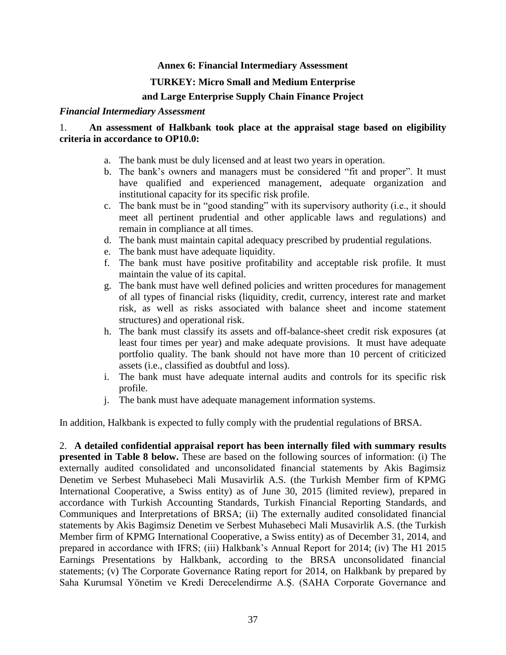#### **Annex 6: Financial Intermediary Assessment**

#### **TURKEY: Micro Small and Medium Enterprise**

#### **and Large Enterprise Supply Chain Finance Project**

#### *Financial Intermediary Assessment*

#### 1. **An assessment of Halkbank took place at the appraisal stage based on eligibility criteria in accordance to OP10.0:**

- a. The bank must be duly licensed and at least two years in operation.
- b. The bank's owners and managers must be considered "fit and proper". It must have qualified and experienced management, adequate organization and institutional capacity for its specific risk profile.
- c. The bank must be in "good standing" with its supervisory authority (i.e., it should meet all pertinent prudential and other applicable laws and regulations) and remain in compliance at all times.
- d. The bank must maintain capital adequacy prescribed by prudential regulations.
- e. The bank must have adequate liquidity.
- f. The bank must have positive profitability and acceptable risk profile. It must maintain the value of its capital.
- g. The bank must have well defined policies and written procedures for management of all types of financial risks (liquidity, credit, currency, interest rate and market risk, as well as risks associated with balance sheet and income statement structures) and operational risk.
- h. The bank must classify its assets and off-balance-sheet credit risk exposures (at least four times per year) and make adequate provisions. It must have adequate portfolio quality. The bank should not have more than 10 percent of criticized assets (i.e., classified as doubtful and loss).
- i. The bank must have adequate internal audits and controls for its specific risk profile.
- j. The bank must have adequate management information systems.

In addition, Halkbank is expected to fully comply with the prudential regulations of BRSA.

2. **A detailed confidential appraisal report has been internally filed with summary results presented in Table 8 below.** These are based on the following sources of information: (i) The externally audited consolidated and unconsolidated financial statements by Akis Bagimsiz Denetim ve Serbest Muhasebeci Mali Musavirlik A.S. (the Turkish Member firm of KPMG International Cooperative, a Swiss entity) as of June 30, 2015 (limited review), prepared in accordance with Turkish Accounting Standards, Turkish Financial Reporting Standards, and Communiques and Interpretations of BRSA; (ii) The externally audited consolidated financial statements by Akis Bagimsiz Denetim ve Serbest Muhasebeci Mali Musavirlik A.S. (the Turkish Member firm of KPMG International Cooperative, a Swiss entity) as of December 31, 2014, and prepared in accordance with IFRS; (iii) Halkbank's Annual Report for 2014; (iv) The H1 2015 Earnings Presentations by Halkbank, according to the BRSA unconsolidated financial statements; (v) The Corporate Governance Rating report for 2014, on Halkbank by prepared by Saha Kurumsal Yönetim ve Kredi Derecelendirme A.Ş. (SAHA Corporate Governance and